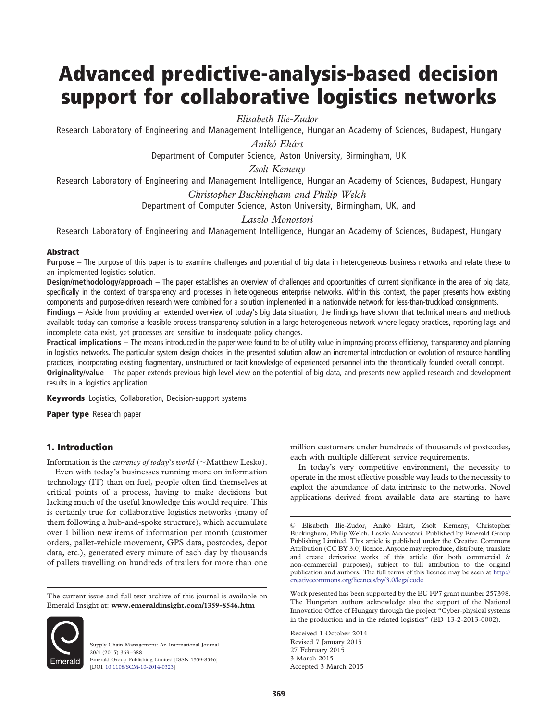# Advanced predictive-analysis-based decision support for collaborative logistics networks

*Elisabeth Ilie-Zudor*

Research Laboratory of Engineering and Management Intelligence, Hungarian Academy of Sciences, Budapest, Hungary

*Anikó Ekárt*

Department of Computer Science, Aston University, Birmingham, UK

*Zsolt Kemeny*

Research Laboratory of Engineering and Management Intelligence, Hungarian Academy of Sciences, Budapest, Hungary

*Christopher Buckingham and Philip Welch*

Department of Computer Science, Aston University, Birmingham, UK, and

*Laszlo Monostori*

Research Laboratory of Engineering and Management Intelligence, Hungarian Academy of Sciences, Budapest, Hungary

## Abstract

**Purpose** – The purpose of this paper is to examine challenges and potential of big data in heterogeneous business networks and relate these to an implemented logistics solution.

**Design/methodology/approach** – The paper establishes an overview of challenges and opportunities of current significance in the area of big data, specifically in the context of transparency and processes in heterogeneous enterprise networks. Within this context, the paper presents how existing components and purpose-driven research were combined for a solution implemented in a nationwide network for less-than-truckload consignments.

**Findings** – Aside from providing an extended overview of today's big data situation, the findings have shown that technical means and methods available today can comprise a feasible process transparency solution in a large heterogeneous network where legacy practices, reporting lags and incomplete data exist, yet processes are sensitive to inadequate policy changes.

**Practical implications** – The means introduced in the paper were found to be of utility value in improving process efficiency, transparency and planning in logistics networks. The particular system design choices in the presented solution allow an incremental introduction or evolution of resource handling practices, incorporating existing fragmentary, unstructured or tacit knowledge of experienced personnel into the theoretically founded overall concept. **Originality/value** – The paper extends previous high-level view on the potential of big data, and presents new applied research and development results in a logistics application.

Keywords Logistics, Collaboration, Decision-support systems

Paper type Research paper

## 1. Introduction

Information is the *currency of today's world* (~Matthew Lesko).

Even with today's businesses running more on information technology (IT) than on fuel, people often find themselves at critical points of a process, having to make decisions but lacking much of the useful knowledge this would require. This is certainly true for collaborative logistics networks (many of them following a hub-and-spoke structure), which accumulate over 1 billion new items of information per month (customer orders, pallet-vehicle movement, GPS data, postcodes, depot data, etc.), generated every minute of each day by thousands of pallets travelling on hundreds of trailers for more than one

The current issue and full text archive of this journal is available on Emerald Insight at: **www.emeraldinsight.com/1359-8546.htm**



Supply Chain Management: An International Journal 20/4 (2015) 369 –388 Emerald Group Publishing Limited [ISSN 1359-8546] [DOI [10.1108/SCM-10-2014-0323\]](http://dx.doi.org/10.1108/SCM-10-2014-0323)

million customers under hundreds of thousands of postcodes, each with multiple different service requirements.

In today's very competitive environment, the necessity to operate in the most effective possible way leads to the necessity to exploit the abundance of data intrinsic to the networks. Novel applications derived from available data are starting to have

Work presented has been supported by the EU FP7 grant number 257398. The Hungarian authors acknowledge also the support of the National Innovation Office of Hungary through the project "Cyber-physical systems in the production and in the related logistics" (ED\_13-2-2013-0002).

Received 1 October 2014 Revised 7 January 2015 27 February 2015 3 March 2015 Accepted 3 March 2015

<sup>©</sup> Elisabeth Ilie-Zudor, Anikó Ekárt, Zsolt Kemeny, Christopher Buckingham, Philip Welch, Laszlo Monostori. Published by Emerald Group Publishing Limited. This article is published under the Creative Commons Attribution (CC BY 3.0) licence. Anyone may reproduce, distribute, translate and create derivative works of this article (for both commercial & non-commercial purposes), subject to full attribution to the original publication and authors. The full terms of this licence may be seen at [http://](http://creativecommons.org/licences/by/3.0/legalcode) [creativecommons.org/licences/by/3.0/legalcode](http://creativecommons.org/licences/by/3.0/legalcode)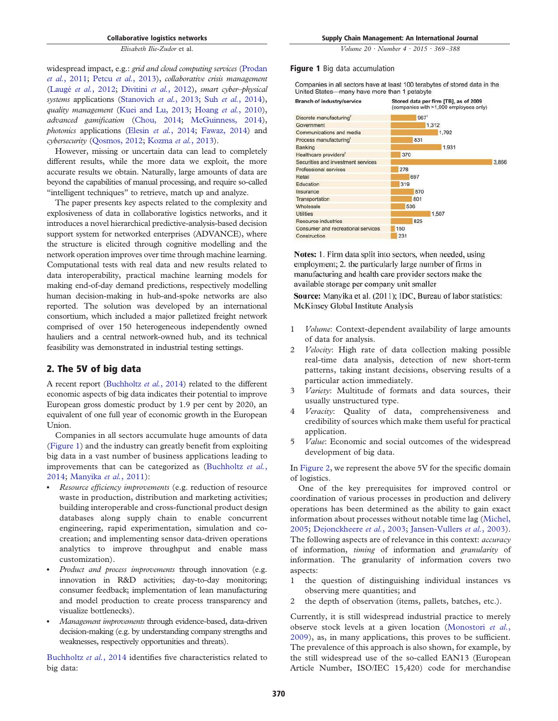widespread impact, e.g.: *grid and cloud computing services* (Prodan *et al.*, 2011; Petcu *et al.*, 2013), *collaborative crisis management* (Laugé *et al.*, 2012; Divitini *et al.*, 2012), *smart cyber–physical systems* applications (Stanovich *et al.*, 2013; Suh *et al.*, 2014), *quality management* (Kuei and Lu, 2013; Hoang *et al.*, 2010), *advanced gamification* (Chou, 2014; McGuinness, 2014), *photonics* applications (Elesin *et al.*, 2014; Fawaz, 2014) and *cybersecurity* (Qosmos, 2012; Kozma *et al.*, 2013).

However, missing or uncertain data can lead to completely different results, while the more data we exploit, the more accurate results we obtain. Naturally, large amounts of data are beyond the capabilities of manual processing, and require so-called "intelligent techniques" to retrieve, match up and analyze.

The paper presents key aspects related to the complexity and explosiveness of data in collaborative logistics networks, and it introduces a novel hierarchical predictive-analysis-based decision support system for networked enterprises (ADVANCE), where the structure is elicited through cognitive modelling and the network operation improves over time through machine learning. Computational tests with real data and new results related to data interoperability, practical machine learning models for making end-of-day demand predictions, respectively modelling human decision-making in hub-and-spoke networks are also reported. The solution was developed by an international consortium, which included a major palletized freight network comprised of over 150 heterogeneous independently owned hauliers and a central network-owned hub, and its technical feasibility was demonstrated in industrial testing settings.

# 2. The 5V of big data

A recent report (Buchholtz *et al.*, 2014) related to the different economic aspects of big data indicates their potential to improve European gross domestic product by 1.9 per cent by 2020, an equivalent of one full year of economic growth in the European Union.

Companies in all sectors accumulate huge amounts of data (Figure 1) and the industry can greatly benefit from exploiting big data in a vast number of business applications leading to improvements that can be categorized as (Buchholtz *et al.*, 2014; Manyika *et al.*, 2011):

- *Resource efficiency improvements* (e.g. reduction of resource waste in production, distribution and marketing activities; building interoperable and cross-functional product design databases along supply chain to enable concurrent engineering, rapid experimentation, simulation and cocreation; and implementing sensor data-driven operations analytics to improve throughput and enable mass customization).
- Product and process improvements through innovation (e.g. innovation in R&D activities; day-to-day monitoring; consumer feedback; implementation of lean manufacturing and model production to create process transparency and visualize bottlenecks).
- *Management improvements* through evidence-based, data-driven decision-making (e.g. by understanding company strengths and weaknesses, respectively opportunities and threats).

Buchholtz *et al.*, 2014 identifies five characteristics related to big data:

*Volume 20 · Number 4 · 2015 · 369 –388*

#### Figure 1 Big data accumulation

Companies in all sectors have at least 100 terabytes of stored data in the United States-many have more than 1 petabyte



Notes: 1. Firm data split into sectors, when needed, using employment; 2. the particularly large number of firms in manufacturing and health care provider sectors make the available storage per company unit smaller

Source: Manyika et al. (2011); IDC, Bureau of labor statistics: McKinsey Global Institute Analysis

- 1 *Volume*: Context-dependent availability of large amounts of data for analysis.
- 2 *Velocity*: High rate of data collection making possible real-time data analysis, detection of new short-term patterns, taking instant decisions, observing results of a particular action immediately.
- 3 *Variety*: Multitude of formats and data sources, their usually unstructured type.
- *Veracity*: Quality of data, comprehensiveness and credibility of sources which make them useful for practical application.
- 5 *Value*: Economic and social outcomes of the widespread development of big data.

In Figure 2, we represent the above 5V for the specific domain of logistics.

One of the key prerequisites for improved control or coordination of various processes in production and delivery operations has been determined as the ability to gain exact information about processes without notable time lag (Michel, 2005; Dejonckheere *et al.*, 2003; Jansen-Vullers *et al.*, 2003). The following aspects are of relevance in this context: *accuracy* of information, *timing* of information and *granularity* of information. The granularity of information covers two aspects:

- 1 the question of distinguishing individual instances vs observing mere quantities; and
- 2 the depth of observation (items, pallets, batches, etc.).

Currently, it is still widespread industrial practice to merely observe stock levels at a given location (Monostori *et al.*, 2009), as, in many applications, this proves to be sufficient. The prevalence of this approach is also shown, for example, by the still widespread use of the so-called EAN13 (European Article Number, ISO/IEC 15,420) code for merchandise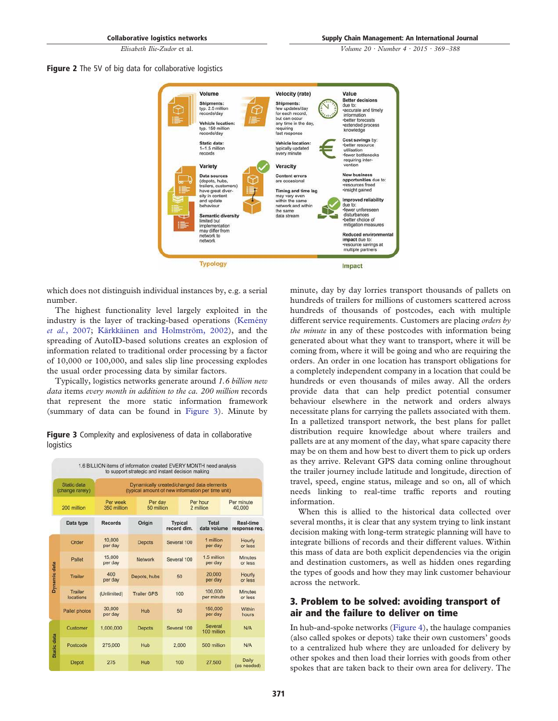*Volume 20 · Number 4 · 2015 · 369 –388*

### Figure 2 The 5V of big data for collaborative logistics



which does not distinguish individual instances by, e.g. a serial number.

The highest functionality level largely exploited in the industry is the layer of tracking-based operations (Kemény *et al.*, 2007; Kärkkäinen and Holmström, 2002), and the spreading of AutoID-based solutions creates an explosion of information related to traditional order processing by a factor of 10,000 or 100,000, and sales slip line processing explodes the usual order processing data by similar factors.

Typically, logistics networks generate around *1.6 billion new data* items *every month in addition to the ca. 200 million* records that represent the more static information framework (summary of data can be found in Figure 3). Minute by

## Figure 3 Complexity and explosiveness of data in collaborative logistics

|                    |                                |                         | to support strategic and instant decision making |                               | 1.6 BILLION items of information created EVERY MONTH need analysis                             |                            |
|--------------------|--------------------------------|-------------------------|--------------------------------------------------|-------------------------------|------------------------------------------------------------------------------------------------|----------------------------|
|                    | Static data<br>(change rarely) |                         |                                                  |                               | Dynamically created/changed data elements<br>(typical amount of new information per time unit) |                            |
|                    | 200 million                    | Per week<br>350 million | Per day<br>50 million                            |                               | Per hour<br>2 million                                                                          | Per minute<br>40.000       |
|                    | Data type                      | Records                 | Origin                                           | <b>Typical</b><br>record dim. | Total<br>data volume                                                                           | Real-time<br>response req. |
|                    | Order                          | 10,000<br>per day       | <b>Depots</b>                                    | Several 100                   | 1 million<br>per day                                                                           | Hourly<br>or less          |
| Dynamic data       | Pallet                         | 15,000<br>per day       | Network                                          | Several 100                   | 1.5 million<br>per day                                                                         | Minutes<br>or less         |
|                    | Trailer                        | 400<br>per day          | Depots, hubs                                     | 50                            | 20.000<br>per day                                                                              | Hourly<br>or less          |
|                    | Trailer<br>locations           | (Unlimited)             | <b>Trailer GPS</b>                               | 100                           | 100,000<br>per minute                                                                          | Minutes<br>or less         |
|                    | Pallet photos                  | 30,000<br>per day       | Hub                                              | 50                            | 150,000<br>per day                                                                             | Within<br>hours            |
|                    | Customer                       | 1,000,000               | <b>Depots</b>                                    | Several 100                   | Several<br>100 million                                                                         | <b>N/A</b>                 |
| <b>Static data</b> | Postcode                       | 275,000                 | Hub                                              | 2,000                         | 500 million                                                                                    | N/A                        |
|                    | <b>Depot</b>                   | 275                     | Hub                                              | 100                           | 27,500                                                                                         | Daily<br>(as needed)       |

minute, day by day lorries transport thousands of pallets on hundreds of trailers for millions of customers scattered across hundreds of thousands of postcodes, each with multiple different service requirements. Customers are placing *orders by the minute* in any of these postcodes with information being generated about what they want to transport, where it will be coming from, where it will be going and who are requiring the orders. An order in one location has transport obligations for a completely independent company in a location that could be hundreds or even thousands of miles away. All the orders provide data that can help predict potential consumer behaviour elsewhere in the network and orders always necessitate plans for carrying the pallets associated with them. In a palletized transport network, the best plans for pallet distribution require knowledge about where trailers and pallets are at any moment of the day, what spare capacity there may be on them and how best to divert them to pick up orders as they arrive. Relevant GPS data coming online throughout the trailer journey include latitude and longitude, direction of travel, speed, engine status, mileage and so on, all of which needs linking to real-time traffic reports and routing information.

When this is allied to the historical data collected over several months, it is clear that any system trying to link instant decision making with long-term strategic planning will have to integrate billions of records and their different values. Within this mass of data are both explicit dependencies via the origin and destination customers, as well as hidden ones regarding the types of goods and how they may link customer behaviour across the network.

## 3. Problem to be solved: avoiding transport of air and the failure to deliver on time

In hub-and-spoke networks (Figure 4), the haulage companies (also called spokes or depots) take their own customers' goods to a centralized hub where they are unloaded for delivery by other spokes and then load their lorries with goods from other spokes that are taken back to their own area for delivery. The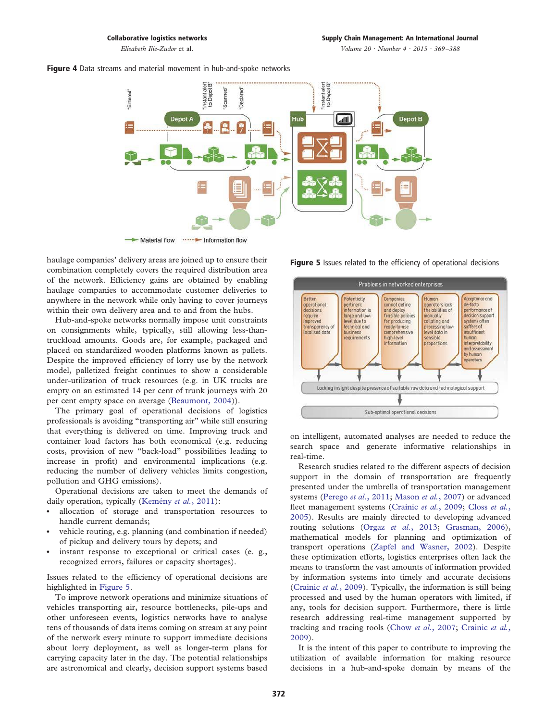*Volume 20 · Number 4 · 2015 · 369 –388*

Figure 4 Data streams and material movement in hub-and-spoke networks



Material flow 

haulage companies' delivery areas are joined up to ensure their combination completely covers the required distribution area of the network. Efficiency gains are obtained by enabling haulage companies to accommodate customer deliveries to anywhere in the network while only having to cover journeys within their own delivery area and to and from the hubs.

Hub-and-spoke networks normally impose unit constraints on consignments while, typically, still allowing less-thantruckload amounts. Goods are, for example, packaged and placed on standardized wooden platforms known as pallets. Despite the improved efficiency of lorry use by the network model, palletized freight continues to show a considerable under-utilization of truck resources (e.g. in UK trucks are empty on an estimated 14 per cent of trunk journeys with 20 per cent empty space on average (Beaumont, 2004)).

The primary goal of operational decisions of logistics professionals is avoiding "transporting air" while still ensuring that everything is delivered on time. Improving truck and container load factors has both economical (e.g. reducing costs, provision of new "back-load" possibilities leading to increase in profit) and environmental implications (e.g. reducing the number of delivery vehicles limits congestion, pollution and GHG emissions).

Operational decisions are taken to meet the demands of daily operation, typically (Kemény *et al.*, 2011):

- allocation of storage and transportation resources to handle current demands;
- vehicle routing, e.g. planning (and combination if needed) of pickup and delivery tours by depots; and
- instant response to exceptional or critical cases (e. g., recognized errors, failures or capacity shortages).

Issues related to the efficiency of operational decisions are highlighted in Figure 5.

To improve network operations and minimize situations of vehicles transporting air, resource bottlenecks, pile-ups and other unforeseen events, logistics networks have to analyse tens of thousands of data items coming on stream at any point of the network every minute to support immediate decisions about lorry deployment, as well as longer-term plans for carrying capacity later in the day. The potential relationships are astronomical and clearly, decision support systems based

Figure 5 Issues related to the efficiency of operational decisions



on intelligent, automated analyses are needed to reduce the search space and generate informative relationships in real-time.

Research studies related to the different aspects of decision support in the domain of transportation are frequently presented under the umbrella of transportation management systems (Perego *et al.*, 2011; Mason *et al.*, 2007) or advanced fleet management systems (Crainic *et al.*, 2009; Closs *et al.*, 2005). Results are mainly directed to developing advanced routing solutions (Orgaz *et al.*, 2013; Grasman, 2006), mathematical models for planning and optimization of transport operations (Zapfel and Wasner, 2002). Despite these optimization efforts, logistics enterprises often lack the means to transform the vast amounts of information provided by information systems into timely and accurate decisions (Crainic *et al.*, 2009). Typically, the information is still being processed and used by the human operators with limited, if any, tools for decision support. Furthermore, there is little research addressing real-time management supported by tracking and tracing tools (Chow *et al.*, 2007; Crainic *et al.*, 2009).

It is the intent of this paper to contribute to improving the utilization of available information for making resource decisions in a hub-and-spoke domain by means of the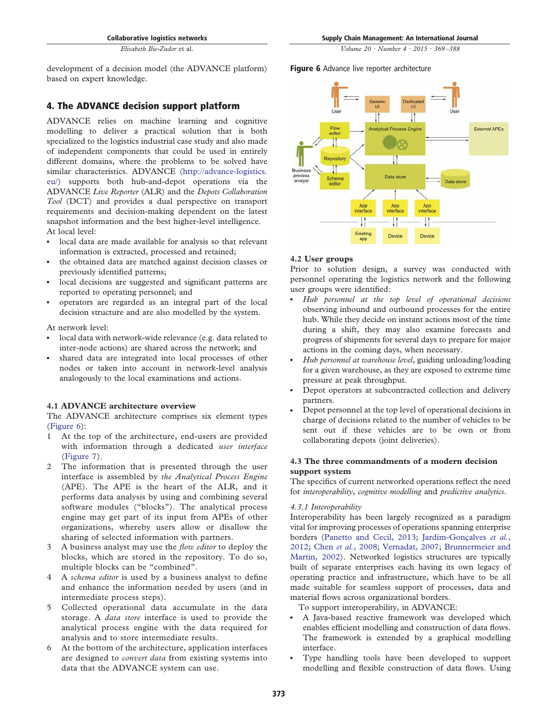development of a decision model (the ADVANCE platform) based on expert knowledge.

# 4. The ADVANCE decision support platform

ADVANCE relies on machine learning and cognitive modelling to deliver a practical solution that is both specialized to the logistics industrial case study and also made of independent components that could be used in entirely different domains, where the problems to be solved have similar characteristics. ADVANCE [\(http://advance-logistics.](http://advance-logistics.eu/) [eu/\)](http://advance-logistics.eu/) supports both hub-and-depot operations via the ADVANCE *Live Reporter* (ALR) and the *Depots Collaboration Tool* (DCT) and provides a dual perspective on transport requirements and decision-making dependent on the latest snapshot information and the best higher-level intelligence. At local level:

- local data are made available for analysis so that relevant information is extracted, processed and retained;
- the obtained data are matched against decision classes or previously identified patterns;
- local decisions are suggested and significant patterns are reported to operating personnel; and
- operators are regarded as an integral part of the local decision structure and are also modelled by the system.

At network level:

- local data with network-wide relevance (e.g. data related to inter-node actions) are shared across the network; and
- shared data are integrated into local processes of other nodes or taken into account in network-level analysis analogously to the local examinations and actions.

## **4.1 ADVANCE architecture overview**

The ADVANCE architecture comprises six element types (Figure 6):

- 1 At the top of the architecture, end-users are provided with information through a dedicated *user interface* (Figure 7).
- 2 The information that is presented through the user interface is assembled by *the Analytical Process Engine* (APE). The APE is the heart of the ALR, and it performs data analysis by using and combining several software modules ("blocks"). The analytical process engine may get part of its input from APEs of other organizations, whereby users allow or disallow the sharing of selected information with partners.
- 3 A business analyst may use the *flow editor* to deploy the blocks, which are stored in the repository. To do so, multiple blocks can be "combined".
- 4 A *schema editor* is used by a business analyst to define and enhance the information needed by users (and in intermediate process steps).
- 5 Collected operational data accumulate in the data storage. A *data store* interface is used to provide the analytical process engine with the data required for analysis and to store intermediate results.
- 6 At the bottom of the architecture, application interfaces are designed to *convert data* from existing systems into data that the ADVANCE system can use.



*Volume 20 · Number 4 · 2015 · 369 –388*

Figure 6 Advance live reporter architecture



## **4.2 User groups**

Prior to solution design, a survey was conducted with personnel operating the logistics network and the following user groups were identified:

- *Hub personnel at the top level of operational decisions* observing inbound and outbound processes for the entire hub. While they decide on instant actions most of the time during a shift, they may also examine forecasts and progress of shipments for several days to prepare for major actions in the coming days, when necessary.
- *Hub personnel at warehouse level*, guiding unloading/loading for a given warehouse, as they are exposed to extreme time pressure at peak throughput.
- Depot operators at subcontracted collection and delivery partners.
- Depot personnel at the top level of operational decisions in charge of decisions related to the number of vehicles to be sent out if these vehicles are to be own or from collaborating depots (joint deliveries).

## **4.3 The three commandments of a modern decision support system**

The specifics of current networked operations reflect the need for *interoperability*, *cognitive modelling* and *predictive analytics*.

## *4.3.1 Interoperability*

Interoperability has been largely recognized as a paradigm vital for improving processes of operations spanning enterprise borders (Panetto and Cecil, 2013; Jardim-Gonçalves *et al.*, 2012; Chen *et al.*, 2008; Vernadat, 2007; Brunnermeier and Martin, 2002). Networked logistics structures are typically built of separate enterprises each having its own legacy of operating practice and infrastructure, which have to be all made suitable for seamless support of processes, data and material flows across organizational borders.

To support interoperability, in ADVANCE:

- A Java-based reactive framework was developed which enables efficient modelling and construction of data flows. The framework is extended by a graphical modelling interface.
- Type handling tools have been developed to support modelling and flexible construction of data flows. Using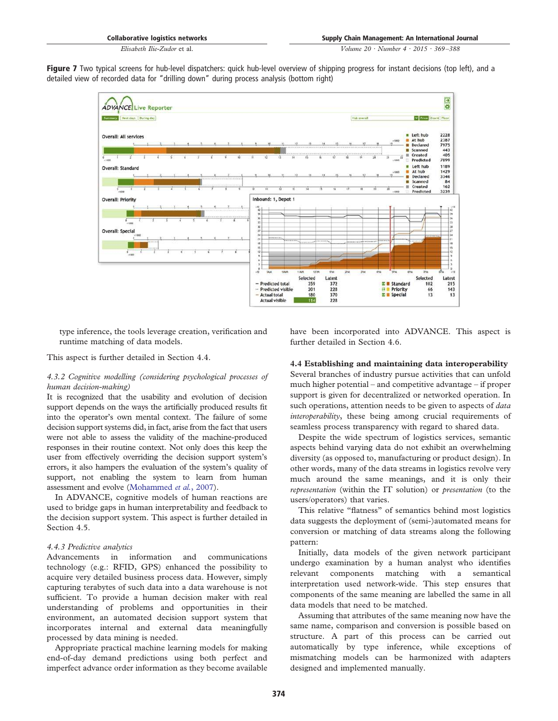*Elisabeth Ilie-Zudor* et al.

*Volume 20 · Number 4 · 2015 · 369 –388*

Figure 7 Two typical screens for hub-level dispatchers: quick hub-level overview of shipping progress for instant decisions (top left), and a detailed view of recorded data for "drilling down" during process analysis (bottom right)



type inference, the tools leverage creation, verification and runtime matching of data models.

This aspect is further detailed in Section 4.4.

## *4.3.2 Cognitive modelling (considering psychological processes of human decision-making)*

It is recognized that the usability and evolution of decision support depends on the ways the artificially produced results fit into the operator's own mental context. The failure of some decision support systems did, in fact, arise from the fact that users were not able to assess the validity of the machine-produced responses in their routine context. Not only does this keep the user from effectively overriding the decision support system's errors, it also hampers the evaluation of the system's quality of support, not enabling the system to learn from human assessment and evolve (Mohammed *et al.*, 2007).

In ADVANCE, cognitive models of human reactions are used to bridge gaps in human interpretability and feedback to the decision support system. This aspect is further detailed in Section 4.5.

#### *4.4.3 Predictive analytics*

Advancements in information and communications technology (e.g.: RFID, GPS) enhanced the possibility to acquire very detailed business process data. However, simply capturing terabytes of such data into a data warehouse is not sufficient. To provide a human decision maker with real understanding of problems and opportunities in their environment, an automated decision support system that incorporates internal and external data meaningfully processed by data mining is needed.

Appropriate practical machine learning models for making end-of-day demand predictions using both perfect and imperfect advance order information as they become available

have been incorporated into ADVANCE. This aspect is further detailed in Section 4.6.

**4.4 Establishing and maintaining data interoperability** Several branches of industry pursue activities that can unfold much higher potential – and competitive advantage – if proper support is given for decentralized or networked operation. In such operations, attention needs to be given to aspects of *data interoperability*, these being among crucial requirements of seamless process transparency with regard to shared data.

Despite the wide spectrum of logistics services, semantic aspects behind varying data do not exhibit an overwhelming diversity (as opposed to, manufacturing or product design). In other words, many of the data streams in logistics revolve very much around the same meanings, and it is only their *representation* (within the IT solution) or *presentation* (to the users/operators) that varies.

This relative "flatness" of semantics behind most logistics data suggests the deployment of (semi-)automated means for conversion or matching of data streams along the following pattern:

Initially, data models of the given network participant undergo examination by a human analyst who identifies relevant components matching with a semantical interpretation used network-wide. This step ensures that components of the same meaning are labelled the same in all data models that need to be matched.

Assuming that attributes of the same meaning now have the same name, comparison and conversion is possible based on structure. A part of this process can be carried out automatically by type inference, while exceptions of mismatching models can be harmonized with adapters designed and implemented manually.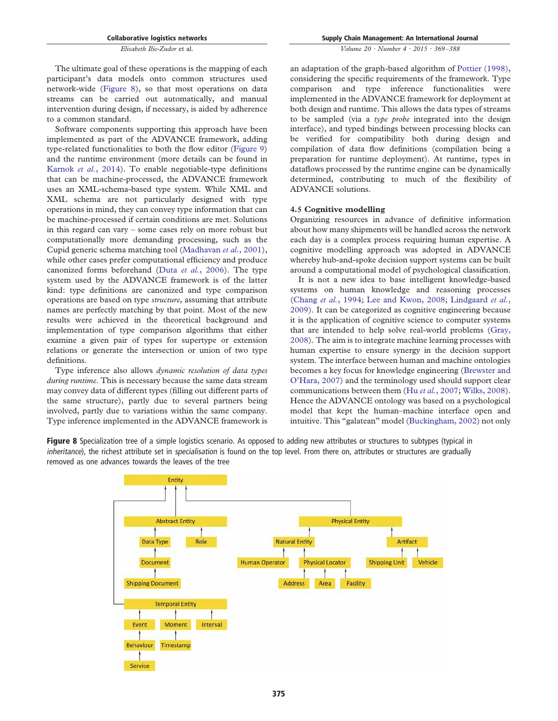The ultimate goal of these operations is the mapping of each participant's data models onto common structures used network-wide (Figure 8), so that most operations on data streams can be carried out automatically, and manual intervention during design, if necessary, is aided by adherence to a common standard.

Software components supporting this approach have been implemented as part of the ADVANCE framework, adding type-related functionalities to both the flow editor (Figure 9) and the runtime environment (more details can be found in Karnok *et al.*, 2014). To enable negotiable-type definitions that can be machine-processed, the ADVANCE framework uses an XML-schema-based type system. While XML and XML schema are not particularly designed with type operations in mind, they can convey type information that can be machine-processed if certain conditions are met. Solutions in this regard can vary – some cases rely on more robust but computationally more demanding processing, such as the Cupid generic schema matching tool (Madhavan *et al.*, 2001), while other cases prefer computational efficiency and produce canonized forms beforehand (Duta *et al.*, 2006). The type system used by the ADVANCE framework is of the latter kind: type definitions are canonized and type comparison operations are based on type *structure*, assuming that attribute names are perfectly matching by that point. Most of the new results were achieved in the theoretical background and implementation of type comparison algorithms that either examine a given pair of types for supertype or extension relations or generate the intersection or union of two type definitions.

Type inference also allows *dynamic resolution of data types during runtime*. This is necessary because the same data stream may convey data of different types (filling out different parts of the same structure), partly due to several partners being involved, partly due to variations within the same company. Type inference implemented in the ADVANCE framework is

Supply Chain Management: An International Journal

*Volume 20 · Number 4 · 2015 · 369 –388*

an adaptation of the graph-based algorithm of Pottier (1998), considering the specific requirements of the framework. Type comparison and type inference functionalities were implemented in the ADVANCE framework for deployment at both design and runtime. This allows the data types of streams to be sampled (via a *type probe* integrated into the design interface), and typed bindings between processing blocks can be verified for compatibility both during design and compilation of data flow definitions (compilation being a preparation for runtime deployment). At runtime, types in dataflows processed by the runtime engine can be dynamically determined, contributing to much of the flexibility of ADVANCE solutions.

## **4.5 Cognitive modelling**

Organizing resources in advance of definitive information about how many shipments will be handled across the network each day is a complex process requiring human expertise. A cognitive modelling approach was adopted in ADVANCE whereby hub-and-spoke decision support systems can be built around a computational model of psychological classification.

It is not a new idea to base intelligent knowledge-based systems on human knowledge and reasoning processes (Chang *et al.*, 1994; Lee and Kwon, 2008; Lindgaard *et al.*, 2009). It can be categorized as cognitive engineering because it is the application of cognitive science to computer systems that are intended to help solve real-world problems (Gray, 2008). The aim is to integrate machine learning processes with human expertise to ensure synergy in the decision support system. The interface between human and machine ontologies becomes a key focus for knowledge engineering (Brewster and O'Hara, 2007) and the terminology used should support clear communications between them (Hu *et al.*, 2007; Wilks, 2008). Hence the ADVANCE ontology was based on a psychological model that kept the human–machine interface open and intuitive. This "galatean" model (Buckingham, 2002) not only

Figure 8 Specialization tree of a simple logistics scenario. As opposed to adding new attributes or structures to subtypes (typical in inheritance), the richest attribute set in specialisation is found on the top level. From there on, attributes or structures are gradually removed as one advances towards the leaves of the tree

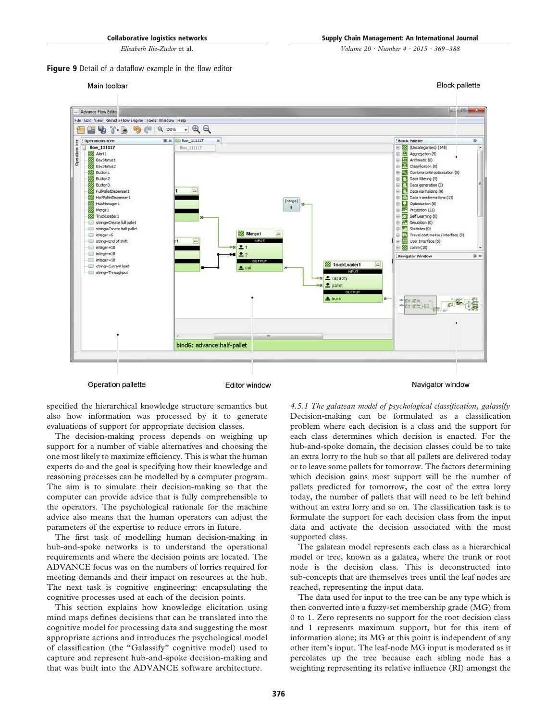*Elisabeth Ilie-Zudor* et al.

*Volume 20 · Number 4 · 2015 · 369 –388*

Figure 9 Detail of a dataflow example in the flow editor



specified the hierarchical knowledge structure semantics but also how information was processed by it to generate evaluations of support for appropriate decision classes.

The decision-making process depends on weighing up support for a number of viable alternatives and choosing the one most likely to maximize efficiency. This is what the human experts do and the goal is specifying how their knowledge and reasoning processes can be modelled by a computer program. The aim is to simulate their decision-making so that the computer can provide advice that is fully comprehensible to the operators. The psychological rationale for the machine advice also means that the human operators can adjust the parameters of the expertise to reduce errors in future.

The first task of modelling human decision-making in hub-and-spoke networks is to understand the operational requirements and where the decision points are located. The ADVANCE focus was on the numbers of lorries required for meeting demands and their impact on resources at the hub. The next task is cognitive engineering: encapsulating the cognitive processes used at each of the decision points.

This section explains how knowledge elicitation using mind maps defines decisions that can be translated into the cognitive model for processing data and suggesting the most appropriate actions and introduces the psychological model of classification (the "Galassify" cognitive model) used to capture and represent hub-and-spoke decision-making and that was built into the ADVANCE software architecture.

*4.5.1 The galatean model of psychological classification, galassify* Decision-making can be formulated as a classification problem where each decision is a class and the support for each class determines which decision is enacted. For the hub-and-spoke domain, the decision classes could be to take an extra lorry to the hub so that all pallets are delivered today or to leave some pallets for tomorrow. The factors determining which decision gains most support will be the number of pallets predicted for tomorrow, the cost of the extra lorry today, the number of pallets that will need to be left behind without an extra lorry and so on. The classification task is to formulate the support for each decision class from the input data and activate the decision associated with the most supported class.

The galatean model represents each class as a hierarchical model or tree, known as a galatea, where the trunk or root node is the decision class. This is deconstructed into sub-concepts that are themselves trees until the leaf nodes are reached, representing the input data.

The data used for input to the tree can be any type which is then converted into a fuzzy-set membership grade (MG) from 0 to 1. Zero represents no support for the root decision class and 1 represents maximum support, but for this item of information alone; its MG at this point is independent of any other item's input. The leaf-node MG input is moderated as it percolates up the tree because each sibling node has a weighting representing its relative influence (RI) amongst the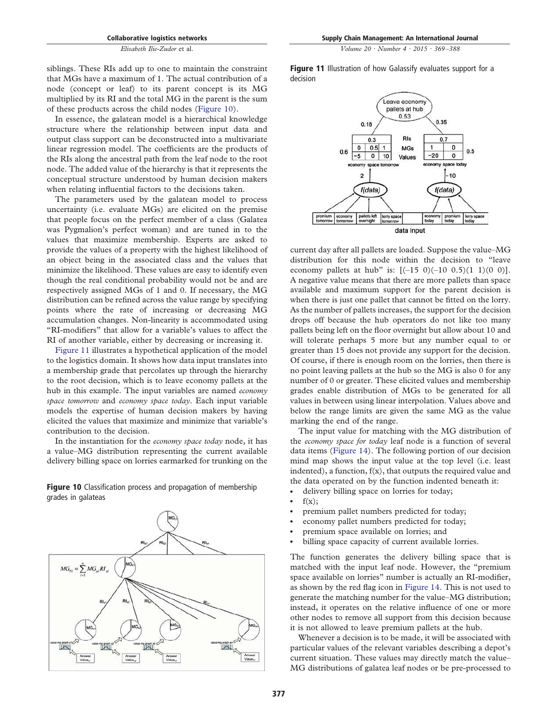In essence, the galatean model is a hierarchical knowledge structure where the relationship between input data and output class support can be deconstructed into a multivariate linear regression model. The coefficients are the products of the RIs along the ancestral path from the leaf node to the root node. The added value of the hierarchy is that it represents the conceptual structure understood by human decision makers when relating influential factors to the decisions taken.

The parameters used by the galatean model to process uncertainty (i.e. evaluate MGs) are elicited on the premise that people focus on the perfect member of a class (Galatea was Pygmalion's perfect woman) and are tuned in to the values that maximize membership. Experts are asked to provide the values of a property with the highest likelihood of an object being in the associated class and the values that minimize the likelihood. These values are easy to identify even though the real conditional probability would not be and are respectively assigned MGs of 1 and 0. If necessary, the MG distribution can be refined across the value range by specifying points where the rate of increasing or decreasing MG accumulation changes. Non-linearity is accommodated using "RI-modifiers" that allow for a variable's values to affect the RI of another variable, either by decreasing or increasing it.

Figure 11 illustrates a hypothetical application of the model to the logistics domain. It shows how data input translates into a membership grade that percolates up through the hierarchy to the root decision, which is to leave economy pallets at the hub in this example. The input variables are named *economy space tomorrow* and *economy space today*. Each input variable models the expertise of human decision makers by having elicited the values that maximize and minimize that variable's contribution to the decision.

In the instantiation for the *economy space today* node, it has a value–MG distribution representing the current available delivery billing space on lorries earmarked for trunking on the

Figure 10 Classification process and propagation of membership grades in galateas



*Volume 20 · Number 4 · 2015 · 369 –388*

Figure 11 Illustration of how Galassify evaluates support for a decision



current day after all pallets are loaded. Suppose the value–MG distribution for this node within the decision to "leave economy pallets at hub" is:  $[(-15 \ 0)(-10 \ 0.5)(1 \ 1)(0 \ 0)].$ A negative value means that there are more pallets than space available and maximum support for the parent decision is when there is just one pallet that cannot be fitted on the lorry. As the number of pallets increases, the support for the decision drops off because the hub operators do not like too many pallets being left on the floor overnight but allow about 10 and will tolerate perhaps 5 more but any number equal to or greater than 15 does not provide any support for the decision. Of course, if there is enough room on the lorries, then there is no point leaving pallets at the hub so the MG is also 0 for any number of 0 or greater. These elicited values and membership grades enable distribution of MGs to be generated for all values in between using linear interpolation. Values above and below the range limits are given the same MG as the value marking the end of the range.

The input value for matching with the MG distribution of the *economy space for today* leaf node is a function of several data items (Figure 14). The following portion of our decision mind map shows the input value at the top level (i.e. least indented), a function,  $f(x)$ , that outputs the required value and the data operated on by the function indented beneath it:

- delivery billing space on lorries for today;
- $f(x);$
- premium pallet numbers predicted for today;
- economy pallet numbers predicted for today;
- premium space available on lorries; and
- billing space capacity of current available lorries.

The function generates the delivery billing space that is matched with the input leaf node. However, the "premium space available on lorries" number is actually an RI-modifier, as shown by the red flag icon in Figure 14. This is not used to generate the matching number for the value–MG distribution; instead, it operates on the relative influence of one or more other nodes to remove all support from this decision because it is not allowed to leave premium pallets at the hub.

Whenever a decision is to be made, it will be associated with particular values of the relevant variables describing a depot's current situation. These values may directly match the value– MG distributions of galatea leaf nodes or be pre-processed to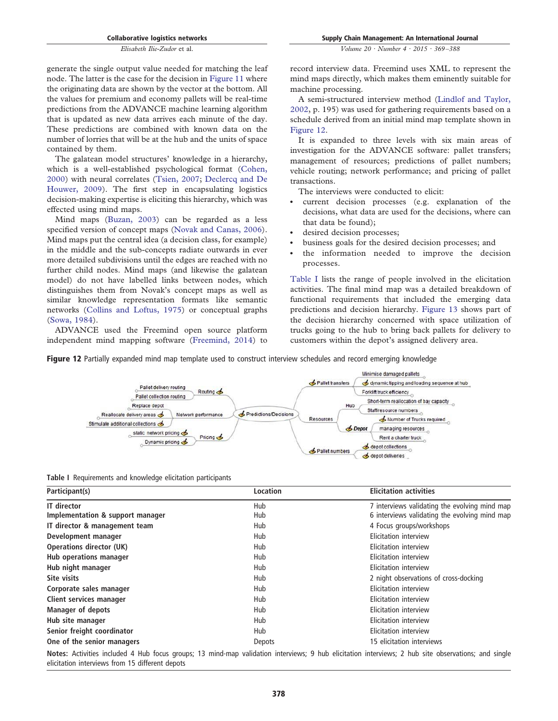*Elisabeth Ilie-Zudor* et al.

*Volume 20 · Number 4 · 2015 · 369 –388*

generate the single output value needed for matching the leaf node. The latter is the case for the decision in Figure 11 where the originating data are shown by the vector at the bottom. All the values for premium and economy pallets will be real-time predictions from the ADVANCE machine learning algorithm that is updated as new data arrives each minute of the day. These predictions are combined with known data on the number of lorries that will be at the hub and the units of space contained by them.

The galatean model structures' knowledge in a hierarchy, which is a well-established psychological format (Cohen, 2000) with neural correlates (Tsien, 2007; Declercq and De Houwer, 2009). The first step in encapsulating logistics decision-making expertise is eliciting this hierarchy, which was effected using mind maps.

Mind maps (Buzan, 2003) can be regarded as a less specified version of concept maps (Novak and Canas, 2006). Mind maps put the central idea (a decision class, for example) in the middle and the sub-concepts radiate outwards in ever more detailed subdivisions until the edges are reached with no further child nodes. Mind maps (and likewise the galatean model) do not have labelled links between nodes, which distinguishes them from Novak's concept maps as well as similar knowledge representation formats like semantic networks (Collins and Loftus, 1975) or conceptual graphs (Sowa, 1984).

ADVANCE used the Freemind open source platform independent mind mapping software (Freemind, 2014) to record interview data. Freemind uses XML to represent the mind maps directly, which makes them eminently suitable for machine processing.

A semi-structured interview method (Lindlof and Taylor, 2002, p. 195) was used for gathering requirements based on a schedule derived from an initial mind map template shown in Figure 12.

It is expanded to three levels with six main areas of investigation for the ADVANCE software: pallet transfers; management of resources; predictions of pallet numbers; vehicle routing; network performance; and pricing of pallet transactions.

The interviews were conducted to elicit:

- current decision processes (e.g. explanation of the decisions, what data are used for the decisions, where can that data be found);
- desired decision processes;
- business goals for the desired decision processes; and
- the information needed to improve the decision processes.

Table I lists the range of people involved in the elicitation activities. The final mind map was a detailed breakdown of functional requirements that included the emerging data predictions and decision hierarchy. Figure 13 shows part of the decision hierarchy concerned with space utilization of trucks going to the hub to bring back pallets for delivery to customers within the depot's assigned delivery area.

Figure 12 Partially expanded mind map template used to construct interview schedules and record emerging knowledge



|  |  |  | Table I Requirements and knowledge elicitation participants |  |  |  |  |  |  |
|--|--|--|-------------------------------------------------------------|--|--|--|--|--|--|
|--|--|--|-------------------------------------------------------------|--|--|--|--|--|--|

| Participant(s)                   | Location | <b>Elicitation activities</b>                 |  |
|----------------------------------|----------|-----------------------------------------------|--|
| IT director                      | Hub      | 7 interviews validating the evolving mind map |  |
| Implementation & support manager | Hub      | 6 interviews validating the evolving mind map |  |
| IT director & management team    | Hub      | 4 Focus groups/workshops                      |  |
| Development manager              | Hub      | Elicitation interview                         |  |
| <b>Operations director (UK)</b>  | Hub      | Elicitation interview                         |  |
| <b>Hub operations manager</b>    | Hub      | Elicitation interview                         |  |
| Hub night manager                | Hub      | Elicitation interview                         |  |
| <b>Site visits</b>               | Hub      | 2 night observations of cross-docking         |  |
| Corporate sales manager          | Hub      | Elicitation interview                         |  |
| Client services manager          | Hub      | <b>Elicitation interview</b>                  |  |
| <b>Manager of depots</b>         | Hub      | Elicitation interview                         |  |
| Hub site manager                 | Hub      | Elicitation interview                         |  |
| Senior freight coordinator       | Hub      | Elicitation interview                         |  |
| One of the senior managers       | Depots   | 15 elicitation interviews                     |  |

**Notes:** Activities included 4 Hub focus groups; 13 mind-map validation interviews; 9 hub elicitation interviews; 2 hub site observations; and single elicitation interviews from 15 different depots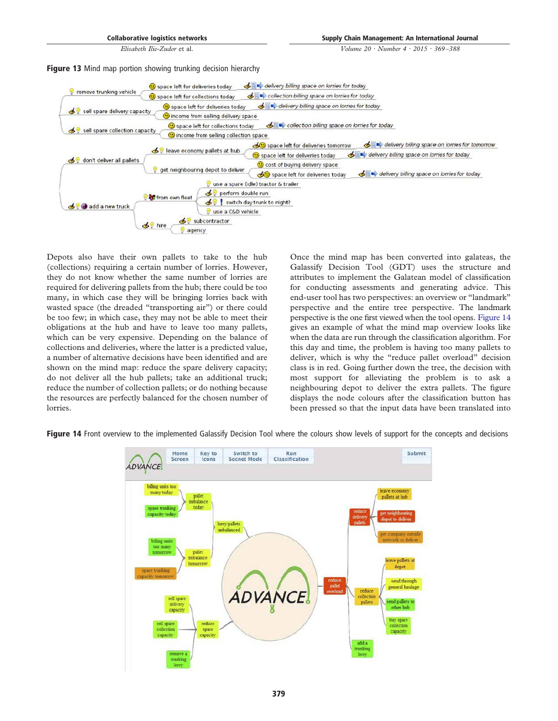*Elisabeth Ilie-Zudor* et al.

*Volume 20 · Number 4 · 2015 · 369 –388*

**Figure 13** Mind map portion showing trunking decision hierarchy



Depots also have their own pallets to take to the hub (collections) requiring a certain number of lorries. However, they do not know whether the same number of lorries are required for delivering pallets from the hub; there could be too many, in which case they will be bringing lorries back with wasted space (the dreaded "transporting air") or there could be too few; in which case, they may not be able to meet their obligations at the hub and have to leave too many pallets, which can be very expensive. Depending on the balance of collections and deliveries, where the latter is a predicted value, a number of alternative decisions have been identified and are shown on the mind map: reduce the spare delivery capacity; do not deliver all the hub pallets; take an additional truck; reduce the number of collection pallets; or do nothing because the resources are perfectly balanced for the chosen number of lorries.

Once the mind map has been converted into galateas, the Galassify Decision Tool (GDT) uses the structure and attributes to implement the Galatean model of classification for conducting assessments and generating advice. This end-user tool has two perspectives: an overview or "landmark" perspective and the entire tree perspective. The landmark perspective is the one first viewed when the tool opens. Figure 14 gives an example of what the mind map overview looks like when the data are run through the classification algorithm. For this day and time, the problem is having too many pallets to deliver, which is why the "reduce pallet overload" decision class is in red. Going further down the tree, the decision with most support for alleviating the problem is to ask a neighbouring depot to deliver the extra pallets. The figure displays the node colours after the classification button has been pressed so that the input data have been translated into



Figure 14 Front overview to the implemented Galassify Decision Tool where the colours show levels of support for the concepts and decisions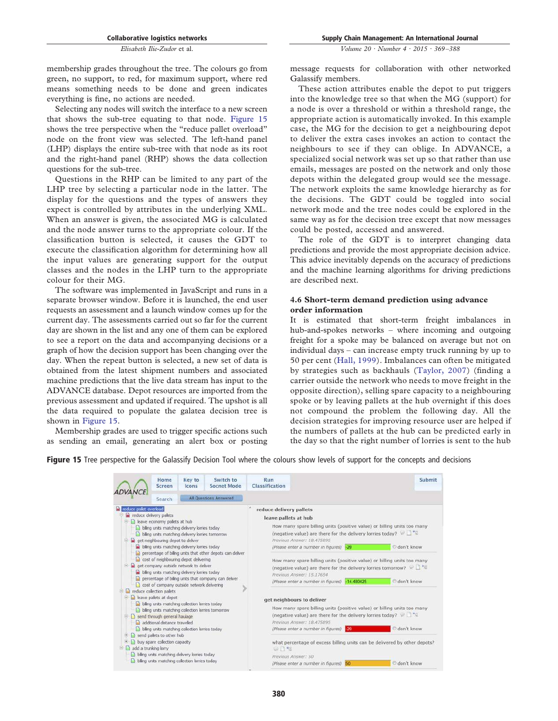membership grades throughout the tree. The colours go from green, no support, to red, for maximum support, where red means something needs to be done and green indicates everything is fine, no actions are needed.

Selecting any nodes will switch the interface to a new screen that shows the sub-tree equating to that node. Figure 15 shows the tree perspective when the "reduce pallet overload" node on the front view was selected. The left-hand panel (LHP) displays the entire sub-tree with that node as its root and the right-hand panel (RHP) shows the data collection questions for the sub-tree.

Questions in the RHP can be limited to any part of the LHP tree by selecting a particular node in the latter. The display for the questions and the types of answers they expect is controlled by attributes in the underlying XML. When an answer is given, the associated MG is calculated and the node answer turns to the appropriate colour. If the classification button is selected, it causes the GDT to execute the classification algorithm for determining how all the input values are generating support for the output classes and the nodes in the LHP turn to the appropriate colour for their MG.

The software was implemented in JavaScript and runs in a separate browser window. Before it is launched, the end user requests an assessment and a launch window comes up for the current day. The assessments carried out so far for the current day are shown in the list and any one of them can be explored to see a report on the data and accompanying decisions or a graph of how the decision support has been changing over the day. When the repeat button is selected, a new set of data is obtained from the latest shipment numbers and associated machine predictions that the live data stream has input to the ADVANCE database. Depot resources are imported from the previous assessment and updated if required. The upshot is all the data required to populate the galatea decision tree is shown in Figure 15.

Membership grades are used to trigger specific actions such as sending an email, generating an alert box or posting *Volume 20 · Number 4 · 2015 · 369 –388*

message requests for collaboration with other networked Galassify members.

These action attributes enable the depot to put triggers into the knowledge tree so that when the MG (support) for a node is over a threshold or within a threshold range, the appropriate action is automatically invoked. In this example case, the MG for the decision to get a neighbouring depot to deliver the extra cases invokes an action to contact the neighbours to see if they can oblige. In ADVANCE, a specialized social network was set up so that rather than use emails, messages are posted on the network and only those depots within the delegated group would see the message. The network exploits the same knowledge hierarchy as for the decisions. The GDT could be toggled into social network mode and the tree nodes could be explored in the same way as for the decision tree except that now messages could be posted, accessed and answered.

The role of the GDT is to interpret changing data predictions and provide the most appropriate decision advice. This advice inevitably depends on the accuracy of predictions and the machine learning algorithms for driving predictions are described next.

## **4.6 Short-term demand prediction using advance order information**

It is estimated that short-term freight imbalances in hub-and-spokes networks – where incoming and outgoing freight for a spoke may be balanced on average but not on individual days – can increase empty truck running by up to 50 per cent (Hall, 1999). Imbalances can often be mitigated by strategies such as backhauls (Taylor, 2007) (finding a carrier outside the network who needs to move freight in the opposite direction), selling spare capacity to a neighbouring spoke or by leaving pallets at the hub overnight if this does not compound the problem the following day. All the decision strategies for improving resource user are helped if the numbers of pallets at the hub can be predicted early in the day so that the right number of lorries is sent to the hub

Figure 15 Tree perspective for the Galassify Decision Tool where the colours show levels of support for the concepts and decisions

|                                                      | Home<br><b>Screen</b>                                                                                                                                                                                                                                                     | Key to<br>Icons                                                                                                                                                                                                                                                                                                                                                                                                                                                                                                                                                               | Switch to<br><b>Socnet Mode</b>                                                                               | Run<br>Classification            |                                                                                                                                                                                                                                                                                                                                                                                                                                                                                                                                                                                                                                                                                                                                                                              | Submit                                                                                                                            |
|------------------------------------------------------|---------------------------------------------------------------------------------------------------------------------------------------------------------------------------------------------------------------------------------------------------------------------------|-------------------------------------------------------------------------------------------------------------------------------------------------------------------------------------------------------------------------------------------------------------------------------------------------------------------------------------------------------------------------------------------------------------------------------------------------------------------------------------------------------------------------------------------------------------------------------|---------------------------------------------------------------------------------------------------------------|----------------------------------|------------------------------------------------------------------------------------------------------------------------------------------------------------------------------------------------------------------------------------------------------------------------------------------------------------------------------------------------------------------------------------------------------------------------------------------------------------------------------------------------------------------------------------------------------------------------------------------------------------------------------------------------------------------------------------------------------------------------------------------------------------------------------|-----------------------------------------------------------------------------------------------------------------------------------|
|                                                      | <b>All Questions Answered</b><br>Search                                                                                                                                                                                                                                   |                                                                                                                                                                                                                                                                                                                                                                                                                                                                                                                                                                               |                                                                                                               |                                  |                                                                                                                                                                                                                                                                                                                                                                                                                                                                                                                                                                                                                                                                                                                                                                              |                                                                                                                                   |
| reduce palet overload<br>$\Box$ add a trunking lorry | reduce delvery palets<br>leave economy palets at hub<br>oet neighbouring depot to deliver<br>reduce colection palets<br>leave palets at depot<br>send through general haulage<br>additional distance traveled<br>send palets to other hub<br>buy spare colection capacity | biling units matching delvery lorries today<br>bling units matching delivery lorries tomorrow<br>bling units matching delvery lorries today<br>cost of neighbouring depot delivering<br>get company outside network to deliver<br>bling units matching delvery lorries today<br>cost of company outside network delivering<br>bing units matching colection lorries today<br>biling units matching collection lorries tomorrow<br>bling units matching collection lorries today<br>biling units matching delvery lorries today<br>bling units matching collection lomes today | percentage of biling units that other depots can deliver<br>percentage of bling units that company can delver | reduce delivery pallets<br>0.198 | leave pallets at hub<br>How many spare billing units (positive value) or billing units too many<br>(negative value) are there for the delivery lorries today?<br>Previous Answer: 18.475895<br>(Please enter a number in figures) -20<br>How many spare billing units (positive value) or billing units too many<br>(negative value) are there for the delivery lorries tomorrow?<br>Previous Answer: 15.17654<br>(Please enter a number in figures) -14.480425<br>get neighbours to deliver<br>How many spare billing units (positive value) or billing units too many<br>(negative value) are there for the delivery lorries today?<br>Previous Answer: 18.475895<br>(Please enter a number in figures) 20<br>Previous Answer: 50<br>(Please enter a number in figures) 50 | don't know<br>don't know<br>don't know<br>what percentage of excess billing units can be delivered by other depots?<br>don't know |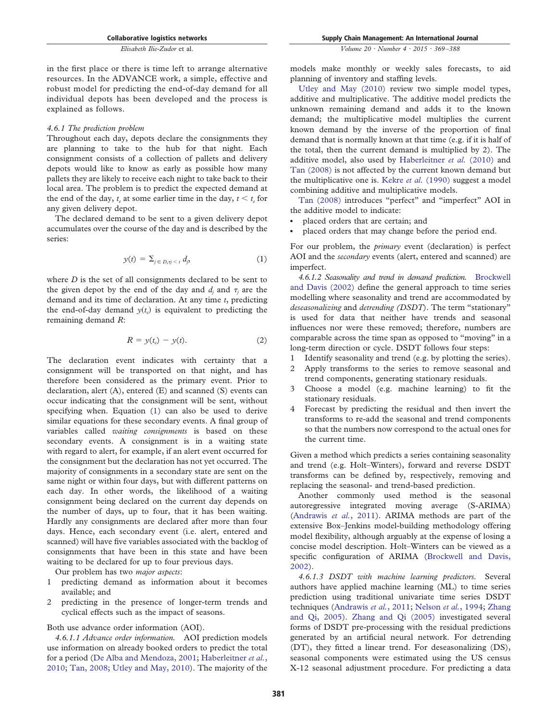in the first place or there is time left to arrange alternative resources. In the ADVANCE work, a simple, effective and robust model for predicting the end-of-day demand for all individual depots has been developed and the process is explained as follows.

#### *4.6.1 The prediction problem*

Throughout each day, depots declare the consignments they are planning to take to the hub for that night. Each consignment consists of a collection of pallets and delivery depots would like to know as early as possible how many pallets they are likely to receive each night to take back to their local area. The problem is to predict the expected demand at the end of the day,  $t_e$  at some earlier time in the day,  $t \leq t_e$  for any given delivery depot.

The declared demand to be sent to a given delivery depot accumulates over the course of the day and is described by the series:

$$
y(t) = \sum_{j \in D, \tau j < t} d_j,\tag{1}
$$

where *D* is the set of all consignments declared to be sent to the given depot by the end of the day and  $d_i$  and  $\tau_i$  are the demand and its time of declaration. At any time *t*, predicting the end-of-day demand  $y(t_e)$  is equivalent to predicting the remaining demand *R*:

$$
R = y(t_e) - y(t). \tag{2}
$$

The declaration event indicates with certainty that a consignment will be transported on that night, and has therefore been considered as the primary event. Prior to declaration, alert (A), entered (E) and scanned (S) events can occur indicating that the consignment will be sent, without specifying when. Equation (1) can also be used to derive similar equations for these secondary events. A final group of variables called *waiting consignments* is based on these secondary events. A consignment is in a waiting state with regard to alert, for example, if an alert event occurred for the consignment but the declaration has not yet occurred. The majority of consignments in a secondary state are sent on the same night or within four days, but with different patterns on each day. In other words, the likelihood of a waiting consignment being declared on the current day depends on the number of days, up to four, that it has been waiting. Hardly any consignments are declared after more than four days. Hence, each secondary event (i.e. alert, entered and scanned) will have five variables associated with the backlog of consignments that have been in this state and have been waiting to be declared for up to four previous days.

Our problem has two *major aspects*:

- 1 predicting demand as information about it becomes available; and
- 2 predicting in the presence of longer-term trends and cyclical effects such as the impact of seasons.

Both use advance order information (AOI).

*4.6.1.1 Advance order information.* AOI prediction models use information on already booked orders to predict the total for a period (De Alba and Mendoza, 2001; Haberleitner *et al.*, 2010; Tan, 2008; Utley and May, 2010). The majority of the

## *Volume 20 · Number 4 · 2015 · 369 –388*

models make monthly or weekly sales forecasts, to aid planning of inventory and staffing levels.

Utley and May (2010) review two simple model types, additive and multiplicative. The additive model predicts the unknown remaining demand and adds it to the known demand; the multiplicative model multiplies the current known demand by the inverse of the proportion of final demand that is normally known at that time (e.g. if it is half of the total, then the current demand is multiplied by 2). The additive model, also used by Haberleitner *et al.* (2010) and Tan (2008) is not affected by the current known demand but the multiplicative one is. Kekre *et al.* (1990) suggest a model combining additive and multiplicative models.

Tan (2008) introduces "perfect" and "imperfect" AOI in the additive model to indicate:

- placed orders that are certain; and
- placed orders that may change before the period end.

For our problem, the *primary* event (declaration) is perfect AOI and the *secondary* events (alert, entered and scanned) are imperfect.

*4.6.1.2 Seasonality and trend in demand prediction.* Brockwell and Davis (2002) define the general approach to time series modelling where seasonality and trend are accommodated by *deseasonalizing* and *detrending (DSDT*). The term "stationary" is used for data that neither have trends and seasonal influences nor were these removed; therefore, numbers are comparable across the time span as opposed to "moving" in a long-term direction or cycle. DSDT follows four steps:

- 1 Identify seasonality and trend (e.g. by plotting the series).
- 2 Apply transforms to the series to remove seasonal and trend components, generating stationary residuals.
- 3 Choose a model (e.g. machine learning) to fit the stationary residuals.
- 4 Forecast by predicting the residual and then invert the transforms to re-add the seasonal and trend components so that the numbers now correspond to the actual ones for the current time.

Given a method which predicts a series containing seasonality and trend (e.g. Holt–Winters), forward and reverse DSDT transforms can be defined by, respectively, removing and replacing the seasonal- and trend-based prediction.

Another commonly used method is the seasonal autoregressive integrated moving average (S-ARIMA) (Andrawis *et al.*, 2011). ARIMA methods are part of the extensive Box–Jenkins model-building methodology offering model flexibility, although arguably at the expense of losing a concise model description. Holt–Winters can be viewed as a specific configuration of ARIMA (Brockwell and Davis, 2002).

*4.6.1.3 DSDT with machine learning predictors.* Several authors have applied machine learning (ML) to time series prediction using traditional univariate time series DSDT techniques (Andrawis *et al.*, 2011; Nelson *et al.*, 1994; Zhang and Qi, 2005). Zhang and Qi (2005) investigated several forms of DSDT pre-processing with the residual predictions generated by an artificial neural network. For detrending (DT), they fitted a linear trend. For deseasonalizing (DS), seasonal components were estimated using the US census X-12 seasonal adjustment procedure. For predicting a data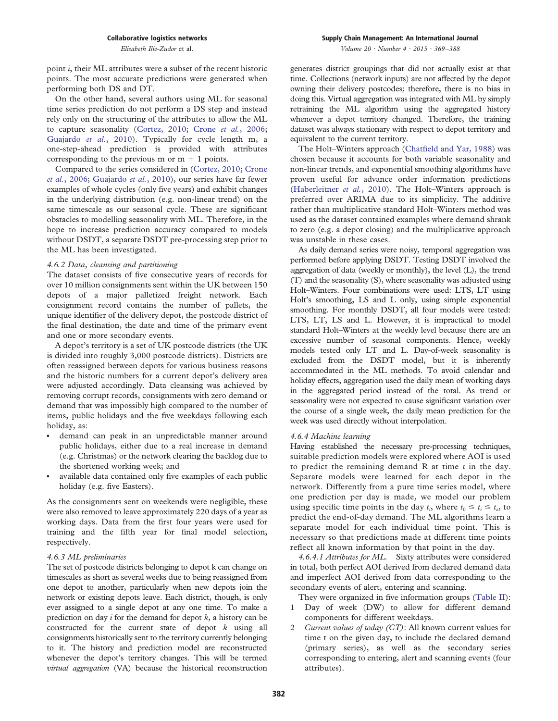On the other hand, several authors using ML for seasonal time series prediction do not perform a DS step and instead rely only on the structuring of the attributes to allow the ML to capture seasonality (Cortez, 2010; Crone *et al.*, 2006; Guajardo *et al.*, 2010). Typically for cycle length m, a one-step-ahead prediction is provided with attributes corresponding to the previous m or  $m + 1$  points.

Compared to the series considered in (Cortez, 2010; Crone *et al.*, 2006; Guajardo *et al.*, 2010), our series have far fewer examples of whole cycles (only five years) and exhibit changes in the underlying distribution (e.g. non-linear trend) on the same timescale as our seasonal cycle. These are significant obstacles to modelling seasonality with ML. Therefore, in the hope to increase prediction accuracy compared to models without DSDT, a separate DSDT pre-processing step prior to the ML has been investigated.

## *4.6.2 Data, cleansing and partitioning*

The dataset consists of five consecutive years of records for over 10 million consignments sent within the UK between 150 depots of a major palletized freight network. Each consignment record contains the number of pallets, the unique identifier of the delivery depot, the postcode district of the final destination, the date and time of the primary event and one or more secondary events.

A depot's territory is a set of UK postcode districts (the UK is divided into roughly 3,000 postcode districts). Districts are often reassigned between depots for various business reasons and the historic numbers for a current depot's delivery area were adjusted accordingly. Data cleansing was achieved by removing corrupt records, consignments with zero demand or demand that was impossibly high compared to the number of items, public holidays and the five weekdays following each holiday, as:

- demand can peak in an unpredictable manner around public holidays, either due to a real increase in demand (e.g. Christmas) or the network clearing the backlog due to the shortened working week; and
- available data contained only five examples of each public holiday (e.g. five Easters).

As the consignments sent on weekends were negligible, these were also removed to leave approximately 220 days of a year as working days. Data from the first four years were used for training and the fifth year for final model selection, respectively.

#### *4.6.3 ML preliminaries*

The set of postcode districts belonging to depot k can change on timescales as short as several weeks due to being reassigned from one depot to another, particularly when new depots join the network or existing depots leave. Each district, though, is only ever assigned to a single depot at any one time. To make a prediction on day *i* for the demand for depot *k*, a history can be constructed for the current state of depot *k* using all consignments historically sent to the territory currently belonging to it. The history and prediction model are reconstructed whenever the depot's territory changes. This will be termed *virtual aggregation* (VA) because the historical reconstruction

## *Volume 20 · Number 4 · 2015 · 369 –388*

generates district groupings that did not actually exist at that time. Collections (network inputs) are not affected by the depot owning their delivery postcodes; therefore, there is no bias in doing this. Virtual aggregation was integrated with ML by simply retraining the ML algorithm using the aggregated history whenever a depot territory changed. Therefore, the training dataset was always stationary with respect to depot territory and equivalent to the current territory.

The Holt–Winters approach (Chatfield and Yar, 1988) was chosen because it accounts for both variable seasonality and non-linear trends, and exponential smoothing algorithms have proven useful for advance order information predictions (Haberleitner *et al.*, 2010). The Holt–Winters approach is preferred over ARIMA due to its simplicity. The additive rather than multiplicative standard Holt–Winters method was used as the dataset contained examples where demand shrank to zero (e.g. a depot closing) and the multiplicative approach was unstable in these cases.

As daily demand series were noisy, temporal aggregation was performed before applying DSDT. Testing DSDT involved the aggregation of data (weekly or monthly), the level (L), the trend (T) and the seasonality (S), where seasonality was adjusted using Holt–Winters. Four combinations were used: LTS, LT using Holt's smoothing, LS and L only, using simple exponential smoothing. For monthly DSDT, all four models were tested: LTS, LT, LS and L. However, it is impractical to model standard Holt–Winters at the weekly level because there are an excessive number of seasonal components. Hence, weekly models tested only LT and L. Day-of-week seasonality is excluded from the DSDT model, but it is inherently accommodated in the ML methods. To avoid calendar and holiday effects, aggregation used the daily mean of working days in the aggregated period instead of the total. As trend or seasonality were not expected to cause significant variation over the course of a single week, the daily mean prediction for the week was used directly without interpolation.

#### *4.6.4 Machine learning*

Having established the necessary pre-processing techniques, suitable prediction models were explored where AOI is used to predict the remaining demand R at time *t* in the day. Separate models were learned for each depot in the network. Differently from a pure time series model, where one prediction per day is made, we model our problem using specific time points in the day  $t_i$ , where  $t_0 \leq t_i \leq t_e$ , to predict the end-of-day demand. The ML algorithms learn a separate model for each individual time point. This is necessary so that predictions made at different time points reflect all known information by that point in the day.

*4.6.4.1 Attributes for ML.* Sixty attributes were considered in total, both perfect AOI derived from declared demand data and imperfect AOI derived from data corresponding to the secondary events of alert, entering and scanning.

- They were organized in five information groups (Table II):
- 1 Day of week (DW) to allow for different demand components for different weekdays.
- 2 *Current values of today (CT)*: All known current values for time t on the given day, to include the declared demand (primary series), as well as the secondary series corresponding to entering, alert and scanning events (four attributes).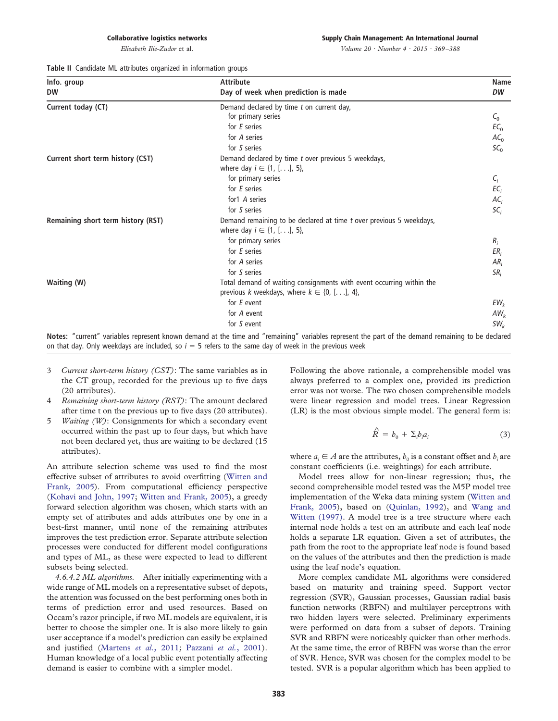*Elisabeth Ilie-Zudor* et al.

*Volume 20 · Number 4 · 2015 · 369 –388*

**Table II** Candidate ML attributes organized in information groups

| Info. group                        | <b>Attribute</b>                                                                                                                                  | <b>Name</b>     |
|------------------------------------|---------------------------------------------------------------------------------------------------------------------------------------------------|-----------------|
| <b>DW</b>                          | Day of week when prediction is made                                                                                                               | <b>DW</b>       |
| Current today (CT)                 | Demand declared by time t on current day,                                                                                                         |                 |
|                                    | for primary series                                                                                                                                | $\mathcal{C}_0$ |
|                                    | for E series                                                                                                                                      | EC <sub>0</sub> |
|                                    | for A series                                                                                                                                      | AC <sub>0</sub> |
|                                    | for S series                                                                                                                                      | SC <sub>0</sub> |
| Current short term history (CST)   | Demand declared by time t over previous 5 weekdays,                                                                                               |                 |
|                                    | where day $i \in \{1, [], 5\}$ ,                                                                                                                  |                 |
|                                    | for primary series                                                                                                                                | $C_i$           |
|                                    | for E series                                                                                                                                      | $EC_i$          |
|                                    | for1 A series                                                                                                                                     | $AC_i$          |
|                                    | for S series                                                                                                                                      | $SC_i$          |
| Remaining short term history (RST) | Demand remaining to be declared at time t over previous 5 weekdays,                                                                               |                 |
|                                    | where day $i \in \{1, [], 5\}$ ,                                                                                                                  |                 |
|                                    | for primary series                                                                                                                                | $R_i$           |
|                                    | for E series                                                                                                                                      | $ER_i$          |
|                                    | for A series                                                                                                                                      | $AR_i$          |
|                                    | for S series                                                                                                                                      | $SR_i$          |
| Waiting (W)                        | Total demand of waiting consignments with event occurring within the                                                                              |                 |
|                                    | previous k weekdays, where $k \in \{0, [], 4\}$ ,                                                                                                 |                 |
|                                    | for E event                                                                                                                                       | $EW_k$          |
|                                    | for A event                                                                                                                                       | $AW_k$          |
|                                    | for S event                                                                                                                                       | $SW_k$          |
|                                    | Notes: "current" variables represent known demand at the time and "remaining" variables represent the part of the demand remaining to be declared |                 |

**Notes:** "current" variables represent known demand at the time and "remaining" variables represent the part of the demand remaining to be declared on that day. Only weekdays are included, so  $i = 5$  refers to the same day of week in the previous week

- 3 *Current short-term history (CST)*: The same variables as in the CT group, recorded for the previous up to five days (20 attributes).
- 4 *Remaining short-term history (RST)*: The amount declared after time t on the previous up to five days (20 attributes).
- 5 *Waiting (W)*: Consignments for which a secondary event occurred within the past up to four days, but which have not been declared yet, thus are waiting to be declared (15 attributes).

An attribute selection scheme was used to find the most effective subset of attributes to avoid overfitting (Witten and Frank, 2005). From computational efficiency perspective (Kohavi and John, 1997; Witten and Frank, 2005), a greedy forward selection algorithm was chosen, which starts with an empty set of attributes and adds attributes one by one in a best-first manner, until none of the remaining attributes improves the test prediction error. Separate attribute selection processes were conducted for different model configurations and types of ML, as these were expected to lead to different subsets being selected.

*4.6.4.2 ML algorithms.* After initially experimenting with a wide range of ML models on a representative subset of depots, the attention was focussed on the best performing ones both in terms of prediction error and used resources. Based on Occam's razor principle, if two ML models are equivalent, it is better to choose the simpler one. It is also more likely to gain user acceptance if a model's prediction can easily be explained and justified (Martens *et al.*, 2011; Pazzani *et al.*, 2001). Human knowledge of a local public event potentially affecting demand is easier to combine with a simpler model.

Following the above rationale, a comprehensible model was always preferred to a complex one, provided its prediction error was not worse. The two chosen comprehensible models were linear regression and model trees. Linear Regression (LR) is the most obvious simple model. The general form is:

$$
\hat{R} = b_0 + \Sigma_i b_i a_i \tag{3}
$$

where  $a_i \in A$  are the attributes,  $b_0$  is a constant offset and  $b_i$  are constant coefficients (i.e. weightings) for each attribute.

Model trees allow for non-linear regression; thus, the second comprehensible model tested was the M5P model tree implementation of the Weka data mining system (Witten and Frank, 2005), based on (Quinlan, 1992), and Wang and Witten (1997). A model tree is a tree structure where each internal node holds a test on an attribute and each leaf node holds a separate LR equation. Given a set of attributes, the path from the root to the appropriate leaf node is found based on the values of the attributes and then the prediction is made using the leaf node's equation.

More complex candidate ML algorithms were considered based on maturity and training speed. Support vector regression (SVR), Gaussian processes, Gaussian radial basis function networks (RBFN) and multilayer perceptrons with two hidden layers were selected. Preliminary experiments were performed on data from a subset of depots. Training SVR and RBFN were noticeably quicker than other methods. At the same time, the error of RBFN was worse than the error of SVR. Hence, SVR was chosen for the complex model to be tested. SVR is a popular algorithm which has been applied to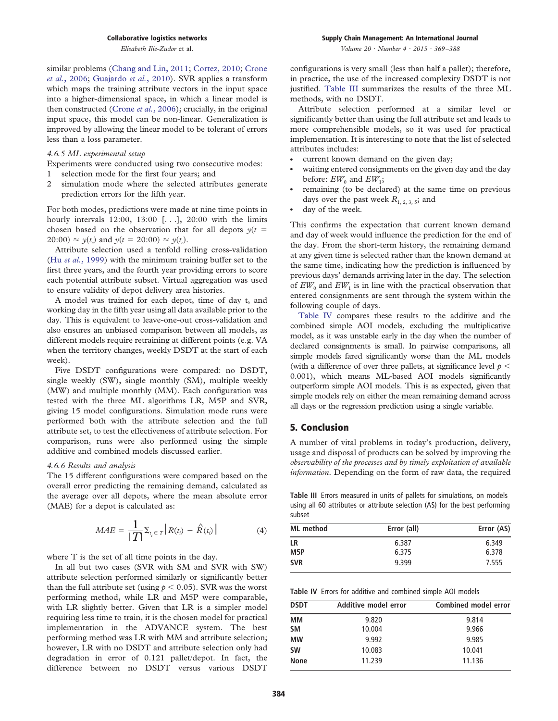*Volume 20 · Number 4 · 2015 · 369 –388*

similar problems (Chang and Lin, 2011; Cortez, 2010; Crone *et al.*, 2006; Guajardo *et al.*, 2010). SVR applies a transform which maps the training attribute vectors in the input space into a higher-dimensional space, in which a linear model is then constructed (Crone *et al.*, 2006); crucially, in the original input space, this model can be non-linear. Generalization is improved by allowing the linear model to be tolerant of errors less than a loss parameter.

## *4.6.5 ML experimental setup*

Experiments were conducted using two consecutive modes: 1 selection mode for the first four years; and

2 simulation mode where the selected attributes generate prediction errors for the fifth year.

For both modes, predictions were made at nine time points in hourly intervals 12:00, 13:00 [. . .], 20:00 with the limits chosen based on the observation that for all depots  $y(t)$  $20:00$   $\approx$   $y(t_e)$  and  $y(t = 20:00) \approx y(t_e)$ .

Attribute selection used a tenfold rolling cross-validation (Hu *et al.*, 1999) with the minimum training buffer set to the first three years, and the fourth year providing errors to score each potential attribute subset. Virtual aggregation was used to ensure validity of depot delivery area histories.

A model was trained for each depot, time of day t, and working day in the fifth year using all data available prior to the day. This is equivalent to leave-one-out cross-validation and also ensures an unbiased comparison between all models, as different models require retraining at different points (e.g. VA when the territory changes, weekly DSDT at the start of each week).

Five DSDT configurations were compared: no DSDT, single weekly (SW), single monthly (SM), multiple weekly (MW) and multiple monthly (MM). Each configuration was tested with the three ML algorithms LR, M5P and SVR, giving 15 model configurations. Simulation mode runs were performed both with the attribute selection and the full attribute set, to test the effectiveness of attribute selection. For comparison, runs were also performed using the simple additive and combined models discussed earlier.

#### *4.6.6 Results and analysis*

The 15 different configurations were compared based on the overall error predicting the remaining demand, calculated as the average over all depots, where the mean absolute error (MAE) for a depot is calculated as:

$$
MAE = \frac{1}{|T|} \Sigma_{t_i \in T} \left| R(t_i) - \hat{R}(t_i) \right| \tag{4}
$$

where T is the set of all time points in the day.

In all but two cases (SVR with SM and SVR with SW) attribute selection performed similarly or significantly better than the full attribute set (using  $p < 0.05$ ). SVR was the worst performing method, while LR and M5P were comparable, with LR slightly better. Given that LR is a simpler model requiring less time to train, it is the chosen model for practical implementation in the ADVANCE system. The best performing method was LR with MM and attribute selection; however, LR with no DSDT and attribute selection only had degradation in error of 0.121 pallet/depot. In fact, the difference between no DSDT versus various DSDT

configurations is very small (less than half a pallet); therefore, in practice, the use of the increased complexity DSDT is not justified. Table III summarizes the results of the three ML methods, with no DSDT.

Attribute selection performed at a similar level or significantly better than using the full attribute set and leads to more comprehensible models, so it was used for practical implementation. It is interesting to note that the list of selected attributes includes:

- current known demand on the given day;
- waiting entered consignments on the given day and the day before:  $EW_0$  and  $EW_1$ ;
- remaining (to be declared) at the same time on previous days over the past week  $R_{1, 2, 3, 5}$ ; and
- day of the week.

This confirms the expectation that current known demand and day of week would influence the prediction for the end of the day. From the short-term history, the remaining demand at any given time is selected rather than the known demand at the same time, indicating how the prediction is influenced by previous days' demands arriving later in the day. The selection of  $EW_0$  and  $EW_1$  is in line with the practical observation that entered consignments are sent through the system within the following couple of days.

Table IV compares these results to the additive and the combined simple AOI models, excluding the multiplicative model, as it was unstable early in the day when the number of declared consignments is small. In pairwise comparisons, all simple models fared significantly worse than the ML models (with a difference of over three pallets, at significance level  $p <$ 0.001), which means ML-based AOI models significantly outperform simple AOI models. This is as expected, given that simple models rely on either the mean remaining demand across all days or the regression prediction using a single variable.

## 5. Conclusion

A number of vital problems in today's production, delivery, usage and disposal of products can be solved by improving the *observability of the processes and by timely exploitation of available information*. Depending on the form of raw data, the required

**Table III** Errors measured in units of pallets for simulations, on models using all 60 attributes or attribute selection (AS) for the best performing subset

| <b>ML</b> method | Error (all) | Error (AS) |  |
|------------------|-------------|------------|--|
| LR               | 6.387       | 6.349      |  |
| M <sub>5</sub> P | 6.375       | 6.378      |  |
| <b>SVR</b>       | 9.399       | 7.555      |  |

**Table IV** Errors for additive and combined simple AOI models

| <b>DSDT</b> | Additive model error | <b>Combined model error</b> |
|-------------|----------------------|-----------------------------|
| MМ          | 9.820                | 9.814                       |
| <b>SM</b>   | 10.004               | 9.966                       |
| <b>MW</b>   | 9.992                | 9.985                       |
| SW          | 10.083               | 10.041                      |
| <b>None</b> | 11.239               | 11.136                      |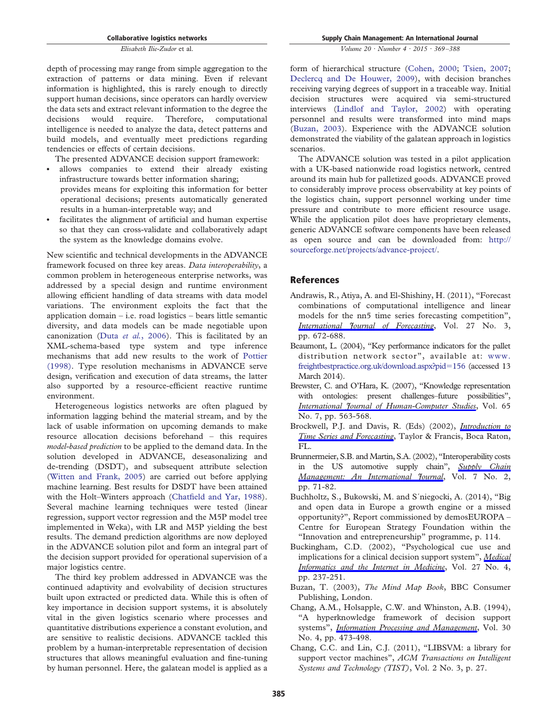depth of processing may range from simple aggregation to the extraction of patterns or data mining. Even if relevant information is highlighted, this is rarely enough to directly support human decisions, since operators can hardly overview the data sets and extract relevant information to the degree the decisions would require. Therefore, computational intelligence is needed to analyze the data, detect patterns and build models, and eventually meet predictions regarding tendencies or effects of certain decisions.

The presented ADVANCE decision support framework:

- allows companies to extend their already existing infrastructure towards better information sharing; provides means for exploiting this information for better operational decisions; presents automatically generated results in a human-interpretable way; and
- facilitates the alignment of artificial and human expertise so that they can cross-validate and collaboratively adapt the system as the knowledge domains evolve.

New scientific and technical developments in the ADVANCE framework focused on three key areas. *Data interoperability*, a common problem in heterogeneous enterprise networks, was addressed by a special design and runtime environment allowing efficient handling of data streams with data model variations. The environment exploits the fact that the application domain – i.e. road logistics – bears little semantic diversity, and data models can be made negotiable upon canonization (Duta *et al.*, 2006). This is facilitated by an XML-schema-based type system and type inference mechanisms that add new results to the work of Pottier (1998). Type resolution mechanisms in ADVANCE serve design, verification and execution of data streams, the latter also supported by a resource-efficient reactive runtime environment.

Heterogeneous logistics networks are often plagued by information lagging behind the material stream, and by the lack of usable information on upcoming demands to make resource allocation decisions beforehand – this requires *model-based prediction* to be applied to the demand data. In the solution developed in ADVANCE, deseasonalizing and de-trending (DSDT), and subsequent attribute selection (Witten and Frank, 2005) are carried out before applying machine learning. Best results for DSDT have been attained with the Holt–Winters approach (Chatfield and Yar, 1988). Several machine learning techniques were tested (linear regression, support vector regression and the M5P model tree implemented in Weka), with LR and M5P yielding the best results. The demand prediction algorithms are now deployed in the ADVANCE solution pilot and form an integral part of the decision support provided for operational supervision of a major logistics centre.

The third key problem addressed in ADVANCE was the continued adaptivity and evolvability of decision structures built upon extracted or predicted data. While this is often of key importance in decision support systems, it is absolutely vital in the given logistics scenario where processes and quantitative distributions experience a constant evolution, and are sensitive to realistic decisions. ADVANCE tackled this problem by a human-interpretable representation of decision structures that allows meaningful evaluation and fine-tuning by human personnel. Here, the galatean model is applied as a

Supply Chain Management: An International Journal

*Volume 20 · Number 4 · 2015 · 369 –388*

form of hierarchical structure (Cohen, 2000; Tsien, 2007; Declercq and De Houwer, 2009), with decision branches receiving varying degrees of support in a traceable way. Initial decision structures were acquired via semi-structured interviews (Lindlof and Taylor, 2002) with operating personnel and results were transformed into mind maps (Buzan, 2003). Experience with the ADVANCE solution demonstrated the viability of the galatean approach in logistics scenarios.

The ADVANCE solution was tested in a pilot application with a UK-based nationwide road logistics network, centred around its main hub for palletized goods. ADVANCE proved to considerably improve process observability at key points of the logistics chain, support personnel working under time pressure and contribute to more efficient resource usage. While the application pilot does have proprietary elements, generic ADVANCE software components have been released as open source and can be downloaded from: [http://](http://sourceforge.net/projects/advance-project/) [sourceforge.net/projects/advance-project/.](http://sourceforge.net/projects/advance-project/)

## References

- Andrawis, R., Atiya, A. and El-Shishiny, H. (2011), "Forecast combinations of computational intelligence and linear models for the nn5 time series forecasting competition", *[International Journal of Forecasting](http://www.emeraldinsight.com/action/showLinks?crossref=10.1016%2Fj.ijforecast.2010.09.005&isi=000292222900003)*, Vol. 27 No. 3, pp. 672-688.
- Beaumont, L. (2004), "Key performance indicators for the pallet distribution network sector", available at: [www.](http://www.freightbestpractice.org.uk/download.aspx?pid=156) [freightbestpractice.org.uk/download.aspx?pid](http://www.freightbestpractice.org.uk/download.aspx?pid=156)=156 (accessed 13 March 2014).
- Brewster, C. and O'Hara, K. (2007), "Knowledge representation with ontologies: present challenges–future possibilities", *[International Journal of Human-Computer Studies](http://www.emeraldinsight.com/action/showLinks?crossref=10.1016%2Fj.ijhcs.2007.04.003&isi=000247427700001)*, Vol. 65 No. 7, pp. 563-568.
- Brockwell, P.J. and Davis, R. (Eds) (2002), *[Introduction to](http://www.emeraldinsight.com/action/showLinks?crossref=10.1007%2Fb97391) [Time Series and Forecasting](http://www.emeraldinsight.com/action/showLinks?crossref=10.1007%2Fb97391)*, Taylor & Francis, Boca Raton, FL.
- Brunnermeier, S.B. and Martin, S.A. (2002), "Interoperability costs in the US automotive supply chain", *[Supply Chain](http://www.emeraldinsight.com/action/showLinks?system=10.1108%2F13598540210425821) [Management: An International Journal](http://www.emeraldinsight.com/action/showLinks?system=10.1108%2F13598540210425821)*, Vol. 7 No. 2, pp. 71-82.
- Buchholtz, S., Bukowski, M. and S´niegocki, A. (2014), "Big and open data in Europe a growth engine or a missed opportunity?", Report commissioned by demosEUROPA – Centre for European Strategy Foundation within the "Innovation and entrepreneurship" programme, p. 114.
- Buckingham, C.D. (2002), "Psychological cue use and implications for a clinical decision support system", *[Medical](http://www.emeraldinsight.com/action/showLinks?crossref=10.1080%2F1463923031000063342&isi=000182016400002) [Informatics and the Internet in Medicine](http://www.emeraldinsight.com/action/showLinks?crossref=10.1080%2F1463923031000063342&isi=000182016400002)*, Vol. 27 No. 4, pp. 237-251.
- Buzan, T. (2003), *The Mind Map Book*, BBC Consumer Publishing, London.
- Chang, A.M., Holsapple, C.W. and Whinston, A.B. (1994), "A hyperknowledge framework of decision support systems", *[Information Processing and Management](http://www.emeraldinsight.com/action/showLinks?crossref=10.1016%2F0306-4573%2894%2990035-3&isi=A1994NK60700002)*, Vol. 30 No. 4, pp. 473-498.
- Chang, C.C. and Lin, C.J. (2011), "LIBSVM: a library for support vector machines", *ACM Transactions on Intelligent Systems and Technology (TIST)*, Vol. 2 No. 3, p. 27.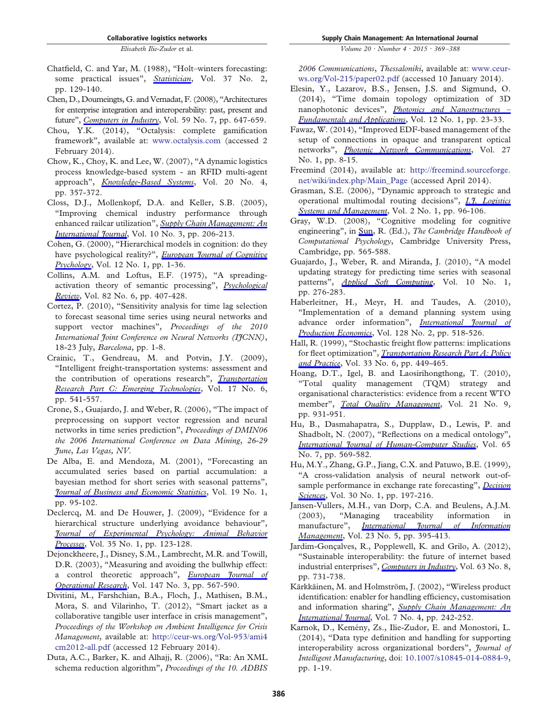- Chatfield, C. and Yar, M. (1988), "Holt–winters forecasting: some practical issues", *[Statistician](http://www.emeraldinsight.com/action/showLinks?crossref=10.2307%2F2348687)*, Vol. 37 No. 2, pp. 129-140.
- Chen, D., Doumeingts, G. and Vernadat, F. (2008), "Architectures for enterprise integration and interoperability: past, present and future", *[Computers in Industry](http://www.emeraldinsight.com/action/showLinks?crossref=10.1016%2Fj.compind.2007.12.016&isi=000258367700003)*, Vol. 59 No. 7, pp. 647-659.
- Chou, Y.K. (2014), "Octalysis: complete gamification framework", available at: [www.octalysis.com](http://www.octalysis.com) (accessed 2 February 2014).
- Chow, K., Choy, K. and Lee, W. (2007), "A dynamic logistics process knowledge-based system - an RFID multi-agent approach", *[Knowledge-Based Systems](http://www.emeraldinsight.com/action/showLinks?crossref=10.1016%2Fj.knosys.2006.08.004&isi=000246658400005)*, Vol. 20 No. 4, pp. 357-372.
- Closs, D.J., Mollenkopf, D.A. and Keller, S.B. (2005), "Improving chemical industry performance through enhanced railcar utilization", *[Supply Chain Management: An](http://www.emeraldinsight.com/action/showLinks?system=10.1108%2F13598540510606269&isi=000232104300009) [International Journal](http://www.emeraldinsight.com/action/showLinks?system=10.1108%2F13598540510606269&isi=000232104300009)*, Vol. 10 No. 3, pp. 206-213.
- Cohen, G. (2000), "Hierarchical models in cognition: do they have psychological reality?", *[European Journal of Cognitive](http://www.emeraldinsight.com/action/showLinks?crossref=10.1080%2F095414400382181&isi=000086030100001) [Psychology](http://www.emeraldinsight.com/action/showLinks?crossref=10.1080%2F095414400382181&isi=000086030100001)*, Vol. 12 No. 1, pp. 1-36.
- Collins, A.M. and Loftus, E.F. (1975), "A spreadingactivation theory of semantic processing", *[Psychological](http://www.emeraldinsight.com/action/showLinks?crossref=10.1037%2F0033-295X.82.6.407&isi=A1975AW08700002) [Review](http://www.emeraldinsight.com/action/showLinks?crossref=10.1037%2F0033-295X.82.6.407&isi=A1975AW08700002)*, Vol. 82 No. 6, pp. 407-428.
- Cortez, P. (2010), "Sensitivity analysis for time lag selection to forecast seasonal time series using neural networks and support vector machines", *Proceedings of the 2010 International Joint Conference on Neural Networks (IJCNN)*, 18-23 July, *Barcelona*, pp. 1-8.
- Crainic, T., Gendreau, M. and Potvin, J.Y. (2009), "Intelligent freight-transportation systems: assessment and the contribution of operations research", *[Transportation](http://www.emeraldinsight.com/action/showLinks?crossref=10.1016%2Fj.trc.2008.07.002&isi=000270610700001) [Research Part C: Emerging Technologies](http://www.emeraldinsight.com/action/showLinks?crossref=10.1016%2Fj.trc.2008.07.002&isi=000270610700001)*, Vol. 17 No. 6, pp. 541-557.
- Crone, S., Guajardo, J. and Weber, R. (2006), "The impact of preprocessing on support vector regression and neural networks in time series prediction", *Proceedings of DMIN06 the 2006 International Conference on Data Mining*, *26-29 June*, *Las Vegas, NV*.
- De Alba, E. and Mendoza, M. (2001), "Forecasting an accumulated series based on partial accumulation: a bayesian method for short series with seasonal patterns", *[Journal of Business and Economic Statistics](http://www.emeraldinsight.com/action/showLinks?crossref=10.1198%2F07350010152472652&isi=000168232500016)*, Vol. 19 No. 1, pp. 95-102.
- Declercq, M. and De Houwer, J. (2009), "Evidence for a hierarchical structure underlying avoidance behaviour", *[Journal of Experimental Psychology: Animal Behavior](http://www.emeraldinsight.com/action/showLinks?crossref=10.1037%2Fa0012927&isi=000262568300011) [Processes](http://www.emeraldinsight.com/action/showLinks?crossref=10.1037%2Fa0012927&isi=000262568300011)*, Vol. 35 No. 1, pp. 123-128.
- Dejonckheere, J., Disney, S.M., Lambrecht, M.R. and Towill, D.R. (2003), "Measuring and avoiding the bullwhip effect: a control theoretic approach", *[European Journal of](http://www.emeraldinsight.com/action/showLinks?crossref=10.1016%2FS0377-2217%2802%2900369-7&isi=000181578300010) [Operational Research](http://www.emeraldinsight.com/action/showLinks?crossref=10.1016%2FS0377-2217%2802%2900369-7&isi=000181578300010)*, Vol. 147 No. 3, pp. 567-590.
- Divitini, M., Farshchian, B.A., Floch, J., Mathisen, B.M., Mora, S. and Vilarinho, T. (2012), "Smart jacket as a collaborative tangible user interface in crisis management", *Proceedings of the Workshop on Ambient Intelligence for Crisis Management*, available at: [http://ceur-ws.org/Vol-953/ami4](http://ceur-ws.org/Vol-953/ami4cm2012-all.pdf) [cm2012-all.pdf](http://ceur-ws.org/Vol-953/ami4cm2012-all.pdf) (accessed 12 February 2014).
- Duta, A.C., Barker, K. and Alhajj, R. (2006), "Ra: An XML schema reduction algorithm", *Proceedings of the 10. ADBIS*

*Volume 20 · Number 4 · 2015 · 369 –388*

*2006 Communications*, *Thessaloniki*, available at: [www.ceur](http://www.ceur-ws.org/Vol-215/paper02.pdf)[ws.org/Vol-215/paper02.pdf](http://www.ceur-ws.org/Vol-215/paper02.pdf) (accessed 10 January 2014).

- Elesin, Y., Lazarov, B.S., Jensen, J.S. and Sigmund, O. (2014), "Time domain topology optimization of 3D nanophotonic devices", *[Photonics and Nanostructures –](http://www.emeraldinsight.com/action/showLinks?crossref=10.1016%2Fj.photonics.2013.07.008&isi=000332593700004) [Fundamentals and Applications](http://www.emeraldinsight.com/action/showLinks?crossref=10.1016%2Fj.photonics.2013.07.008&isi=000332593700004)*, Vol. 12 No. 1, pp. 23-33.
- Fawaz, W. (2014), "Improved EDF-based management of the setup of connections in opaque and transparent optical networks", *[Photonic Network Communications](http://www.emeraldinsight.com/action/showLinks?crossref=10.1007%2Fs11107-013-0419-x&isi=000330384500002)*, Vol. 27 No. 1, pp. 8-15.
- Freemind (2014), available at: [http://freemind.sourceforge.](http://freemind.sourceforge.net/wiki/index.php/Main_Page) [net/wiki/index.php/Main\\_Page](http://freemind.sourceforge.net/wiki/index.php/Main_Page) (accessed April 2014).
- Grasman, S.E. (2006), "Dynamic approach to strategic and operational multimodal routing decisions", *[I.J. Logistics](http://www.emeraldinsight.com/action/showLinks?crossref=10.1504%2FIJLSM.2006.008220) [Systems and Management](http://www.emeraldinsight.com/action/showLinks?crossref=10.1504%2FIJLSM.2006.008220)*, Vol. 2 No. 1, pp. 96-106.
- Gray, W.D. (2008), "Cognitive modeling for cognitive engineering", in [Sun,](http://www.emeraldinsight.com/action/showLinks?crossref=10.1017%2FCBO9780511816772.025) R. (Ed.), *The Cambridge Handbook of Computational Psychology*, Cambridge University Press, Cambridge, pp. 565-588.
- Guajardo, J., Weber, R. and Miranda, J. (2010), "A model updating strategy for predicting time series with seasonal patterns", *[Applied Soft Computing](http://www.emeraldinsight.com/action/showLinks?crossref=10.1016%2Fj.asoc.2009.07.005&isi=000271061900026)*, Vol. 10 No. 1, pp. 276-283.
- Haberleitner, H., Meyr, H. and Taudes, A. (2010), "Implementation of a demand planning system using advance order information", *[International Journal of](http://www.emeraldinsight.com/action/showLinks?crossref=10.1016%2Fj.ijpe.2010.07.003&isi=000284967500007) [Production Economics](http://www.emeraldinsight.com/action/showLinks?crossref=10.1016%2Fj.ijpe.2010.07.003&isi=000284967500007)*, Vol. 128 No. 2, pp. 518-526.
- Hall, R. (1999), "Stochastic freight flow patterns: implications for fleet optimization", *[Transportation Research Part A: Policy](http://www.emeraldinsight.com/action/showLinks?crossref=10.1016%2FS0965-8564%2898%2900063-9&isi=000081758000003) [and Practice](http://www.emeraldinsight.com/action/showLinks?crossref=10.1016%2FS0965-8564%2898%2900063-9&isi=000081758000003)*, Vol. 33 No. 6, pp. 449-465.
- Hoang, D.T., Igel, B. and Laosirihongthong, T. (2010), "Total quality management (TQM) strategy and organisational characteristics: evidence from a recent WTO member", *[Total Quality Management](http://www.emeraldinsight.com/action/showLinks?crossref=10.1080%2F14783363.2010.487680)*, Vol. 21 No. 9, pp. 931-951.
- Hu, B., Dasmahapatra, S., Dupplaw, D., Lewis, P. and Shadbolt, N. (2007), "Reflections on a medical ontology", *[International Journal of Human-Computer Studies](http://www.emeraldinsight.com/action/showLinks?crossref=10.1016%2Fj.ijhcs.2007.02.005&isi=000247427700002)*, Vol. 65 No. 7, pp. 569-582.
- Hu, M.Y., Zhang, G.P., Jiang, C.X. and Patuwo, B.E. (1999), "A cross-validation analysis of neural network out-ofsample performance in exchange rate forecasting", *[Decision](http://www.emeraldinsight.com/action/showLinks?crossref=10.1111%2Fj.1540-5915.1999.tb01606.x&isi=000085518100009) [Sciences](http://www.emeraldinsight.com/action/showLinks?crossref=10.1111%2Fj.1540-5915.1999.tb01606.x&isi=000085518100009)*, Vol. 30 No. 1, pp. 197-216.
- Jansen-Vullers, M.H., van Dorp, C.A. and Beulens, A.J.M. (2003), "Managing traceability information in manufacture", *[International Journal of Information](http://www.emeraldinsight.com/action/showLinks?crossref=10.1016%2FS0268-4012%2803%2900066-5&isi=000185219900003) [Management](http://www.emeraldinsight.com/action/showLinks?crossref=10.1016%2FS0268-4012%2803%2900066-5&isi=000185219900003)*, Vol. 23 No. 5, pp. 395-413.
- Jardim-Gonçalves, R., Popplewell, K. and Grilo, A. (2012), "Sustainable interoperability: the future of internet based industrial enterprises", *[Computers in Industry](http://www.emeraldinsight.com/action/showLinks?crossref=10.1016%2Fj.compind.2012.08.016&isi=000311240200001)*, Vol. 63 No. 8, pp. 731-738.
- Kärkkäinen, M. and Holmström, J. (2002), "Wireless product identification: enabler for handling efficiency, customisation and information sharing", *[Supply Chain Management: An](http://www.emeraldinsight.com/action/showLinks?system=10.1108%2F13598540210438971) [International Journal](http://www.emeraldinsight.com/action/showLinks?system=10.1108%2F13598540210438971)*, Vol. 7 No. 4, pp. 242-252.
- Karnok, D., Kemény, Zs., Ilie-Zudor, E. and Monostori, L. (2014), "Data type definition and handling for supporting interoperability across organizational borders", *Journal of Intelligent Manufacturing*, doi: [10.1007/s10845-014-0884-9,](http://dx.doi.org/10.1007/s10845-014-0884-9) pp. 1-19.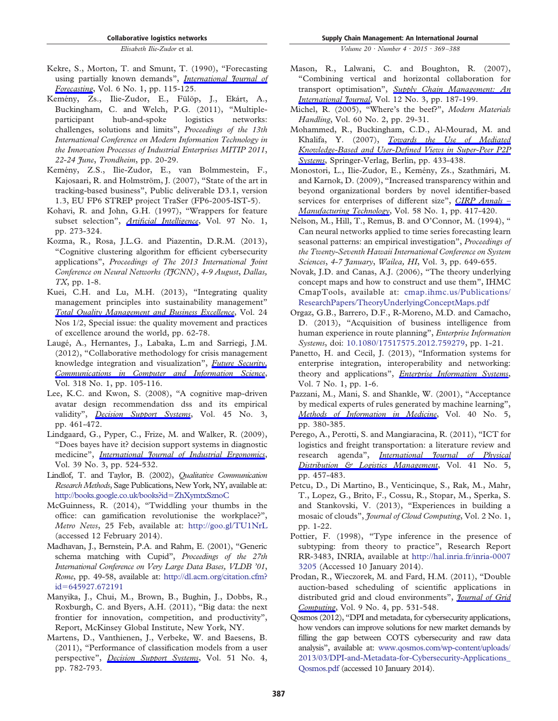- Kekre, S., Morton, T. and Smunt, T. (1990), "Forecasting using partially known demands", *[International Journal of](http://www.emeraldinsight.com/action/showLinks?crossref=10.1016%2F0169-2070%2890%2990102-H&isi=A1990DN63900011) [Forecasting](http://www.emeraldinsight.com/action/showLinks?crossref=10.1016%2F0169-2070%2890%2990102-H&isi=A1990DN63900011)*, Vol. 6 No. 1, pp. 115-125.
- Kemény, Zs., Ilie-Zudor, E., Fülöp, J., Ekárt, A., Buckingham, C. and Welch, P.G. (2011), "Multipleparticipant hub-and-spoke logistics networks: challenges, solutions and limits", *Proceedings of the 13th International Conference on Modern Information Technology in the Innovation Processes of Industrial Enterprises MITIP 2011*, *22-24 June*, *Trondheim*, pp. 20-29.
- Kemény, Z.S., Ilie-Zudor, E., van Bolmmestein, F., Kajosaari, R. and Holmström, J. (2007), "State of the art in tracking-based business", Public deliverable D3.1, version 1.3, EU FP6 STREP project TraSer (FP6-2005-IST-5).
- Kohavi, R. and John, G.H. (1997), "Wrappers for feature subset selection", *[Artificial Intelligence](http://www.emeraldinsight.com/action/showLinks?crossref=10.1016%2FS0004-3702%2897%2900043-X&isi=000071321500009)*, Vol. 97 No. 1, pp. 273-324.
- Kozma, R., Rosa, J.L.G. and Piazentin, D.R.M. (2013), "Cognitive clustering algorithm for efficient cybersecurity applications", *Proceedings of The 2013 International Joint Conference on Neural Networks (IJCNN)*, *4-9 August*, *Dallas, TX*, pp. 1-8.
- Kuei, C.H. and Lu, M.H. (2013), "Integrating quality management principles into sustainability management" *[Total Quality Management and Business Excellence](http://www.emeraldinsight.com/action/showLinks?crossref=10.1080%2F14783363.2012.669536)*, Vol. 24 Nos 1/2, Special issue: the quality movement and practices of excellence around the world, pp. 62-78.
- Laugé, A., Hernantes, J., Labaka, L.m and Sarriegi, J.M. (2012), "Collaborative methodology for crisis management knowledge integration and visualization", *[Future Security,](http://www.emeraldinsight.com/action/showLinks?crossref=10.1007%2F978-3-642-33161-9_18) [Communications in Computer and Information Science](http://www.emeraldinsight.com/action/showLinks?crossref=10.1007%2F978-3-642-33161-9_18)*, Vol. 318 No. 1, pp. 105-116.
- Lee, K.C. and Kwon, S. (2008), "A cognitive map-driven avatar design recommendation dss and its empirical validity", *[Decision Support Systems](http://www.emeraldinsight.com/action/showLinks?crossref=10.1016%2Fj.dss.2007.06.006&isi=000257566900008)*, Vol. 45 No. 3, pp. 461-472.
- Lindgaard, G., Pyper, C., Frize, M. and Walker, R. (2009), "Does bayes have it? decision support systems in diagnostic medicine", *[International Journal of Industrial Ergonomics](http://www.emeraldinsight.com/action/showLinks?crossref=10.1016%2Fj.ergon.2008.10.011&isi=000265716600007)*, Vol. 39 No. 3, pp. 524-532.
- Lindlof, T. and Taylor, B. (2002), *Qualitative Communication Research Methods*, Sage Publications, New York, NY, available at: [http://books.google.co.uk/books?id](http://books.google.co.uk/books?id=ZhXymtxSznoC)=ZhXymtxSznoC
- McGuinness, R. (2014), "Twiddling your thumbs in the office: can gamification revolutionise the workplace?", *Metro News*, 25 Feb, available at: <http://goo.gl/TU1NrL> (accessed 12 February 2014).
- Madhavan, J., Bernstein, P.A. and Rahm, E. (2001), "Generic schema matching with Cupid", *Proceedings of the 27th International Conference on Very Large Data Bases, VLDB '01*, *Rome*, pp. 49-58, available at: [http://dl.acm.org/citation.cfm?](http://dl.acm.org/citation.cfm?id=645927.672191)  $id=645927.672191$  $id=645927.672191$
- Manyika, J., Chui, M., Brown, B., Bughin, J., Dobbs, R., Roxburgh, C. and Byers, A.H. (2011), "Big data: the next frontier for innovation, competition, and productivity", Report, McKinsey Global Institute, New York, NY.
- Martens, D., Vanthienen, J., Verbeke, W. and Baesens, B. (2011), "Performance of classification models from a user perspective", *[Decision Support Systems](http://www.emeraldinsight.com/action/showLinks?crossref=10.1016%2Fj.dss.2011.01.013&isi=000295998300006)*, Vol. 51 No. 4, pp. 782-793.

*Volume 20 · Number 4 · 2015 · 369 –388*

- Mason, R., Lalwani, C. and Boughton, R. (2007), "Combining vertical and horizontal collaboration for transport optimisation", *[Supply Chain Management: An](http://www.emeraldinsight.com/action/showLinks?system=10.1108%2F13598540710742509&isi=000246964000004) [International Journal](http://www.emeraldinsight.com/action/showLinks?system=10.1108%2F13598540710742509&isi=000246964000004)*, Vol. 12 No. 3, pp. 187-199.
- Michel, R. (2005), "Where's the beef?", *Modern Materials Handling*, Vol. 60 No. 2, pp. 29-31.
- Mohammed, R., Buckingham, C.D., Al-Mourad, M. and Khalifa, Y. (2007), *[Towards the Use of Mediated](http://www.emeraldinsight.com/action/showLinks?crossref=10.1007%2F978-1-4020-6268-1_77) [Knowledge-Based and User-Defined Views in Super-Peer P2P](http://www.emeraldinsight.com/action/showLinks?crossref=10.1007%2F978-1-4020-6268-1_77) [Systems](http://www.emeraldinsight.com/action/showLinks?crossref=10.1007%2F978-1-4020-6268-1_77)*, Springer-Verlag, Berlin, pp. 433-438.
- Monostori, L., Ilie-Zudor, E., Kemény, Zs., Szathmári, M. and Karnok, D. (2009), "Increased transparency within and beyond organizational borders by novel identifier-based services for enterprises of different size", *[CIRP Annals –](http://www.emeraldinsight.com/action/showLinks?crossref=10.1016%2Fj.cirp.2009.03.086&isi=000267276100103) [Manufacturing Technology](http://www.emeraldinsight.com/action/showLinks?crossref=10.1016%2Fj.cirp.2009.03.086&isi=000267276100103)*, Vol. 58 No. 1, pp. 417-420.
- Nelson, M., Hill, T., Remus, B. and O'Connor, M. (1994), " Can neural networks applied to time series forecasting learn seasonal patterns: an empirical investigation", *Proceedings of the Twenty-Seventh Hawaii International Conference on System Sciences*, *4-7 January*, *Wailea, HI*, Vol. 3, pp. 649-655.
- Novak, J.D. and Canas, A.J. (2006), "The theory underlying concept maps and how to construct and use them", IHMC CmapTools, available at: [cmap.ihmc.us/Publications/](http://cmap.ihmc.us/Publications/ResearchPapers/TheoryUnderlyingConceptMaps.pdf) [ResearchPapers/TheoryUnderlyingConceptMaps.pdf](http://cmap.ihmc.us/Publications/ResearchPapers/TheoryUnderlyingConceptMaps.pdf)
- Orgaz, G.B., Barrero, D.F., R-Moreno, M.D. and Camacho, D. (2013), "Acquisition of business intelligence from human experience in route planning", *Enterprise Information Systems*, doi: [10.1080/17517575.2012.759279,](http://dx.doi.org/10.1080/17517575.2012.759279) pp. 1-21.
- Panetto, H. and Cecil, J. (2013), "Information systems for enterprise integration, interoperability and networking: theory and applications", *[Enterprise Information Systems](http://www.emeraldinsight.com/action/showLinks?crossref=10.1080%2F17517575.2012.684802)*, Vol. 7 No. 1, pp. 1-6.
- Pazzani, M., Mani, S. and Shankle, W. (2001), "Acceptance by medical experts of rules generated by machine learning", *[Methods of Information in Medicine](http://www.emeraldinsight.com/action/showLinks?isi=000172654200004)*, Vol. 40 No. 5, pp. 380-385.
- Perego, A., Perotti, S. and Mangiaracina, R. (2011), "ICT for logistics and freight transportation: a literature review and research agenda", *[International Journal of Physical](http://www.emeraldinsight.com/action/showLinks?system=10.1108%2F09600031111138826&isi=000294588400003) [Distribution & Logistics Management](http://www.emeraldinsight.com/action/showLinks?system=10.1108%2F09600031111138826&isi=000294588400003)*, Vol. 41 No. 5, pp. 457-483.
- Petcu, D., Di Martino, B., Venticinque, S., Rak, M., Mahr, T., Lopez, G., Brito, F., Cossu, R., Stopar, M., Sperka, S. and Stankovski, V. (2013), "Experiences in building a mosaic of clouds", *Journal of Cloud Computing*, Vol. 2 No. 1, pp. 1-22.
- Pottier, F. (1998), "Type inference in the presence of subtyping: from theory to practice", Research Report RR-3483, INRIA, available at [http://hal.inria.fr/inria-0007](http://hal.inria.fr/inria-00073205) [3205](http://hal.inria.fr/inria-00073205) (Accessed 10 January 2014).
- Prodan, R., Wieczorek, M. and Fard, H.M. (2011), "Double auction-based scheduling of scientific applications in distributed grid and cloud environments", *[Journal of Grid](http://www.emeraldinsight.com/action/showLinks?crossref=10.1007%2Fs10723-011-9196-x) [Computing](http://www.emeraldinsight.com/action/showLinks?crossref=10.1007%2Fs10723-011-9196-x)*, Vol. 9 No. 4, pp. 531-548.
- Qosmos (2012), "DPI and metadata, for cybersecurity applications, how vendors can improve solutions for new market demands by filling the gap between COTS cybersecurity and raw data analysis", available at: [www.qosmos.com/wp-content/uploads/](http://www.qosmos.com/wp-content/uploads/2013/03/DPI-and-Metadata-for-Cybersecurity-Applications_Qosmos.pdf) [2013/03/DPI-and-Metadata-for-Cybersecurity-Applications\\_](http://www.qosmos.com/wp-content/uploads/2013/03/DPI-and-Metadata-for-Cybersecurity-Applications_Qosmos.pdf) [Qosmos.pdf](http://www.qosmos.com/wp-content/uploads/2013/03/DPI-and-Metadata-for-Cybersecurity-Applications_Qosmos.pdf) (accessed 10 January 2014).